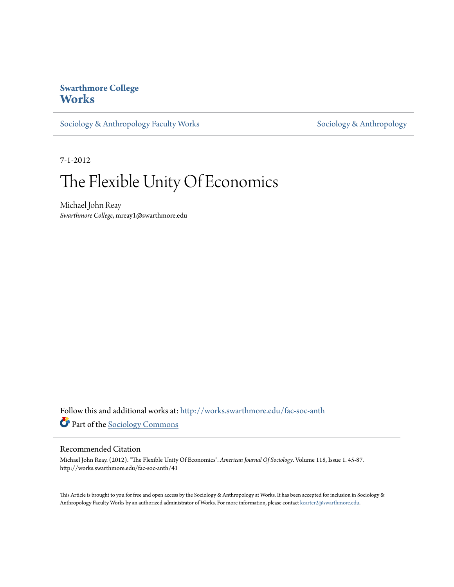# **Swarthmore College [Works](http://works.swarthmore.edu?utm_source=works.swarthmore.edu%2Ffac-soc-anth%2F41&utm_medium=PDF&utm_campaign=PDFCoverPages)**

[Sociology & Anthropology Faculty Works](http://works.swarthmore.edu/fac-soc-anth?utm_source=works.swarthmore.edu%2Ffac-soc-anth%2F41&utm_medium=PDF&utm_campaign=PDFCoverPages) [Sociology & Anthropology](http://works.swarthmore.edu/soc-anth?utm_source=works.swarthmore.edu%2Ffac-soc-anth%2F41&utm_medium=PDF&utm_campaign=PDFCoverPages) & Anthropology

7-1-2012

# The Flexible Unity Of Economics

Michael John Reay *Swarthmore College*, mreay1@swarthmore.edu

Follow this and additional works at: [http://works.swarthmore.edu/fac-soc-anth](http://works.swarthmore.edu/fac-soc-anth?utm_source=works.swarthmore.edu%2Ffac-soc-anth%2F41&utm_medium=PDF&utm_campaign=PDFCoverPages) Part of the [Sociology Commons](http://network.bepress.com/hgg/discipline/416?utm_source=works.swarthmore.edu%2Ffac-soc-anth%2F41&utm_medium=PDF&utm_campaign=PDFCoverPages)

### Recommended Citation

Michael John Reay. (2012). "The Flexible Unity Of Economics". *American Journal Of Sociology*. Volume 118, Issue 1. 45-87. http://works.swarthmore.edu/fac-soc-anth/41

This Article is brought to you for free and open access by the Sociology & Anthropology at Works. It has been accepted for inclusion in Sociology & Anthropology Faculty Works by an authorized administrator of Works. For more information, please contact [kcarter2@swarthmore.edu.](mailto:kcarter2@swarthmore.edu)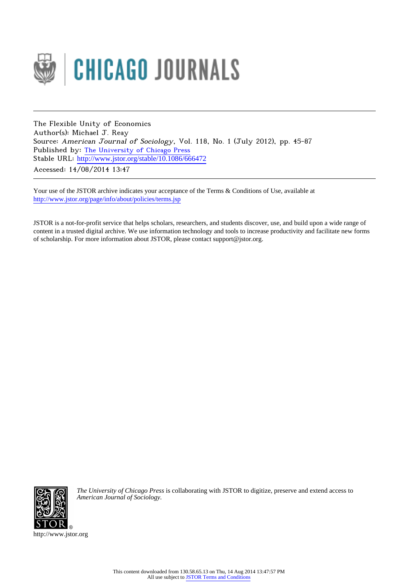

The Flexible Unity of Economics Author(s): Michael J. Reay Source: American Journal of Sociology, Vol. 118, No. 1 (July 2012), pp. 45-87 Published by: [The University of Chicago Press](http://www.jstor.org/action/showPublisher?publisherCode=ucpress) Stable URL: http://www.jstor.org/stable/10.1086/666472 Accessed: 14/08/2014 13:47

Your use of the JSTOR archive indicates your acceptance of the Terms & Conditions of Use, available at <http://www.jstor.org/page/info/about/policies/terms.jsp>

JSTOR is a not-for-profit service that helps scholars, researchers, and students discover, use, and build upon a wide range of content in a trusted digital archive. We use information technology and tools to increase productivity and facilitate new forms of scholarship. For more information about JSTOR, please contact support@jstor.org.



*The University of Chicago Press* is collaborating with JSTOR to digitize, preserve and extend access to *American Journal of Sociology.*

http://www.jstor.org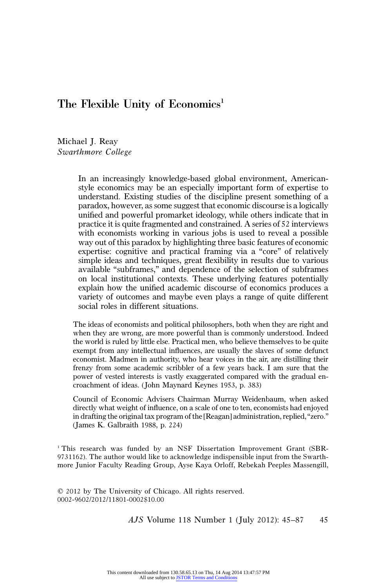## The Flexible Unity of Economics<sup>1</sup>

Michael J. Reay *Swarthmore College*

> In an increasingly knowledge-based global environment, Americanstyle economics may be an especially important form of expertise to understand. Existing studies of the discipline present something of a paradox, however, as some suggest that economic discourse is a logically unified and powerful promarket ideology, while others indicate that in practice it is quite fragmented and constrained. A series of 52 interviews with economists working in various jobs is used to reveal a possible way out of this paradox by highlighting three basic features of economic expertise: cognitive and practical framing via a "core" of relatively simple ideas and techniques, great flexibility in results due to various available "subframes," and dependence of the selection of subframes on local institutional contexts. These underlying features potentially explain how the unified academic discourse of economics produces a variety of outcomes and maybe even plays a range of quite different social roles in different situations.

The ideas of economists and political philosophers, both when they are right and when they are wrong, are more powerful than is commonly understood. Indeed the world is ruled by little else. Practical men, who believe themselves to be quite exempt from any intellectual influences, are usually the slaves of some defunct economist. Madmen in authority, who hear voices in the air, are distilling their frenzy from some academic scribbler of a few years back. I am sure that the power of vested interests is vastly exaggerated compared with the gradual encroachment of ideas. (John Maynard Keynes 1953, p. 383)

Council of Economic Advisers Chairman Murray Weidenbaum, when asked directly what weight of influence, on a scale of one to ten, economists had enjoyed in drafting the original tax program of the [Reagan] administration, replied, "zero." (James K. Galbraith 1988, p. 224)

<sup>1</sup> This research was funded by an NSF Dissertation Improvement Grant (SBR-9731162). The author would like to acknowledge indispensible input from the Swarthmore Junior Faculty Reading Group, Ayse Kaya Orloff, Rebekah Peeples Massengill,

 $© 2012$  by The University of Chicago. All rights reserved. 0002-9602/2012/11801-0002\$10.00

*AJS* Volume 118 Number 1 (July 2012): 45–87 45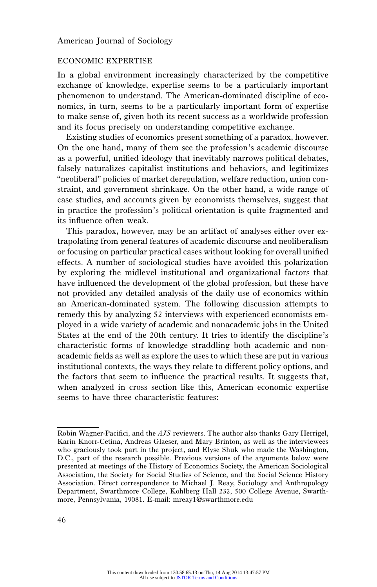#### ECONOMIC EXPERTISE

In a global environment increasingly characterized by the competitive exchange of knowledge, expertise seems to be a particularly important phenomenon to understand. The American-dominated discipline of economics, in turn, seems to be a particularly important form of expertise to make sense of, given both its recent success as a worldwide profession and its focus precisely on understanding competitive exchange.

Existing studies of economics present something of a paradox, however. On the one hand, many of them see the profession's academic discourse as a powerful, unified ideology that inevitably narrows political debates, falsely naturalizes capitalist institutions and behaviors, and legitimizes "neoliberal" policies of market deregulation, welfare reduction, union constraint, and government shrinkage. On the other hand, a wide range of case studies, and accounts given by economists themselves, suggest that in practice the profession's political orientation is quite fragmented and its influence often weak.

This paradox, however, may be an artifact of analyses either over extrapolating from general features of academic discourse and neoliberalism or focusing on particular practical cases without looking for overall unified effects. A number of sociological studies have avoided this polarization by exploring the midlevel institutional and organizational factors that have influenced the development of the global profession, but these have not provided any detailed analysis of the daily use of economics within an American-dominated system. The following discussion attempts to remedy this by analyzing 52 interviews with experienced economists employed in a wide variety of academic and nonacademic jobs in the United States at the end of the 20th century. It tries to identify the discipline's characteristic forms of knowledge straddling both academic and nonacademic fields as well as explore the uses to which these are put in various institutional contexts, the ways they relate to different policy options, and the factors that seem to influence the practical results. It suggests that, when analyzed in cross section like this, American economic expertise seems to have three characteristic features:

Robin Wagner-Pacifici, and the *AJS* reviewers. The author also thanks Gary Herrigel, Karin Knorr-Cetina, Andreas Glaeser, and Mary Brinton, as well as the interviewees who graciously took part in the project, and Elyse Shuk who made the Washington, D.C., part of the research possible. Previous versions of the arguments below were presented at meetings of the History of Economics Society, the American Sociological Association, the Society for Social Studies of Science, and the Social Science History Association. Direct correspondence to Michael J. Reay, Sociology and Anthropology Department, Swarthmore College, Kohlberg Hall 232, 500 College Avenue, Swarthmore, Pennsylvania, 19081. E-mail: [mreay1@swarthmore.edu](mailto:mreay1@swarthmore.edu)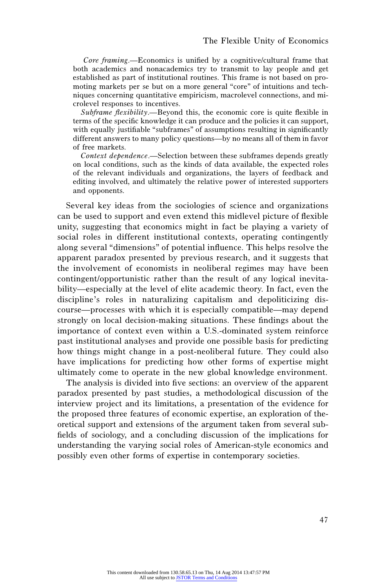*Core framing*.—Economics is unified by a cognitive/cultural frame that both academics and nonacademics try to transmit to lay people and get established as part of institutional routines. This frame is not based on promoting markets per se but on a more general "core" of intuitions and techniques concerning quantitative empiricism, macrolevel connections, and microlevel responses to incentives.

*Subframe flexibility*.—Beyond this, the economic core is quite flexible in terms of the specific knowledge it can produce and the policies it can support, with equally justifiable "subframes" of assumptions resulting in significantly different answers to many policy questions—by no means all of them in favor of free markets.

*Context dependence*.—Selection between these subframes depends greatly on local conditions, such as the kinds of data available, the expected roles of the relevant individuals and organizations, the layers of feedback and editing involved, and ultimately the relative power of interested supporters and opponents.

Several key ideas from the sociologies of science and organizations can be used to support and even extend this midlevel picture of flexible unity, suggesting that economics might in fact be playing a variety of social roles in different institutional contexts, operating contingently along several "dimensions" of potential influence. This helps resolve the apparent paradox presented by previous research, and it suggests that the involvement of economists in neoliberal regimes may have been contingent/opportunistic rather than the result of any logical inevitability—especially at the level of elite academic theory. In fact, even the discipline's roles in naturalizing capitalism and depoliticizing discourse—processes with which it is especially compatible—may depend strongly on local decision-making situations. These findings about the importance of context even within a U.S.-dominated system reinforce past institutional analyses and provide one possible basis for predicting how things might change in a post-neoliberal future. They could also have implications for predicting how other forms of expertise might ultimately come to operate in the new global knowledge environment.

The analysis is divided into five sections: an overview of the apparent paradox presented by past studies, a methodological discussion of the interview project and its limitations, a presentation of the evidence for the proposed three features of economic expertise, an exploration of theoretical support and extensions of the argument taken from several subfields of sociology, and a concluding discussion of the implications for understanding the varying social roles of American-style economics and possibly even other forms of expertise in contemporary societies.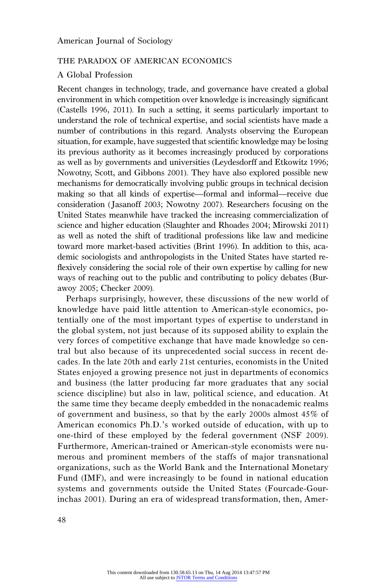#### THE PARADOX OF AMERICAN ECONOMICS

#### A Global Profession

Recent changes in technology, trade, and governance have created a global environment in which competition over knowledge is increasingly significant (Castells 1996, 2011). In such a setting, it seems particularly important to understand the role of technical expertise, and social scientists have made a number of contributions in this regard. Analysts observing the European situation, for example, have suggested that scientific knowledge may be losing its previous authority as it becomes increasingly produced by corporations as well as by governments and universities (Leydesdorff and Etkowitz 1996; Nowotny, Scott, and Gibbons 2001). They have also explored possible new mechanisms for democratically involving public groups in technical decision making so that all kinds of expertise—formal and informal—receive due consideration (Jasanoff 2003; Nowotny 2007). Researchers focusing on the United States meanwhile have tracked the increasing commercialization of science and higher education (Slaughter and Rhoades 2004; Mirowski 2011) as well as noted the shift of traditional professions like law and medicine toward more market-based activities (Brint 1996). In addition to this, academic sociologists and anthropologists in the United States have started reflexively considering the social role of their own expertise by calling for new ways of reaching out to the public and contributing to policy debates (Burawoy 2005; Checker 2009).

Perhaps surprisingly, however, these discussions of the new world of knowledge have paid little attention to American-style economics, potentially one of the most important types of expertise to understand in the global system, not just because of its supposed ability to explain the very forces of competitive exchange that have made knowledge so central but also because of its unprecedented social success in recent decades. In the late 20th and early 21st centuries, economists in the United States enjoyed a growing presence not just in departments of economics and business (the latter producing far more graduates that any social science discipline) but also in law, political science, and education. At the same time they became deeply embedded in the nonacademic realms of government and business, so that by the early 2000s almost 45% of American economics Ph.D.'s worked outside of education, with up to one-third of these employed by the federal government (NSF 2009). Furthermore, American-trained or American-style economists were numerous and prominent members of the staffs of major transnational organizations, such as the World Bank and the International Monetary Fund (IMF), and were increasingly to be found in national education systems and governments outside the United States (Fourcade-Gourinchas 2001). During an era of widespread transformation, then, Amer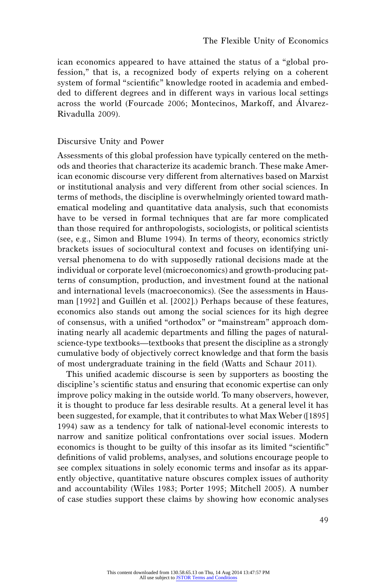ican economics appeared to have attained the status of a "global profession," that is, a recognized body of experts relying on a coherent system of formal "scientific" knowledge rooted in academia and embedded to different degrees and in different ways in various local settings across the world (Fourcade 2006; Montecinos, Markoff, and Álvarez-Rivadulla 2009).

#### Discursive Unity and Power

Assessments of this global profession have typically centered on the methods and theories that characterize its academic branch. These make American economic discourse very different from alternatives based on Marxist or institutional analysis and very different from other social sciences. In terms of methods, the discipline is overwhelmingly oriented toward mathematical modeling and quantitative data analysis, such that economists have to be versed in formal techniques that are far more complicated than those required for anthropologists, sociologists, or political scientists (see, e.g., Simon and Blume 1994). In terms of theory, economics strictly brackets issues of sociocultural context and focuses on identifying universal phenomena to do with supposedly rational decisions made at the individual or corporate level (microeconomics) and growth-producing patterns of consumption, production, and investment found at the national and international levels (macroeconomics). (See the assessments in Hausman [1992] and Guillén et al. [2002].) Perhaps because of these features, economics also stands out among the social sciences for its high degree of consensus, with a unified "orthodox" or "mainstream" approach dominating nearly all academic departments and filling the pages of naturalscience-type textbooks—textbooks that present the discipline as a strongly cumulative body of objectively correct knowledge and that form the basis of most undergraduate training in the field (Watts and Schaur 2011).

This unified academic discourse is seen by supporters as boosting the discipline's scientific status and ensuring that economic expertise can only improve policy making in the outside world. To many observers, however, it is thought to produce far less desirable results. At a general level it has been suggested, for example, that it contributes to what Max Weber ([1895] 1994) saw as a tendency for talk of national-level economic interests to narrow and sanitize political confrontations over social issues. Modern economics is thought to be guilty of this insofar as its limited "scientific" definitions of valid problems, analyses, and solutions encourage people to see complex situations in solely economic terms and insofar as its apparently objective, quantitative nature obscures complex issues of authority and accountability (Wiles 1983; Porter 1995; Mitchell 2005). A number of case studies support these claims by showing how economic analyses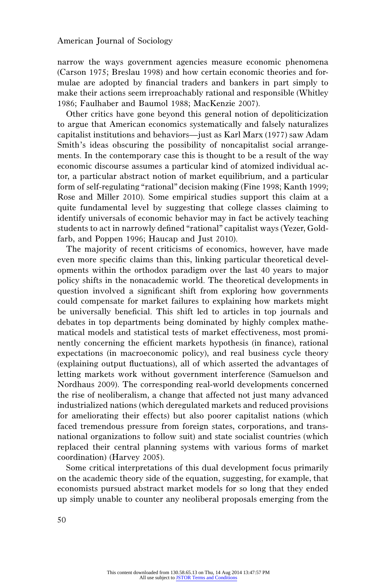narrow the ways government agencies measure economic phenomena (Carson 1975; Breslau 1998) and how certain economic theories and formulae are adopted by financial traders and bankers in part simply to make their actions seem irreproachably rational and responsible (Whitley 1986; Faulhaber and Baumol 1988; MacKenzie 2007).

Other critics have gone beyond this general notion of depoliticization to argue that American economics systematically and falsely naturalizes capitalist institutions and behaviors—just as Karl Marx (1977) saw Adam Smith's ideas obscuring the possibility of noncapitalist social arrangements. In the contemporary case this is thought to be a result of the way economic discourse assumes a particular kind of atomized individual actor, a particular abstract notion of market equilibrium, and a particular form of self-regulating "rational" decision making (Fine 1998; Kanth 1999; Rose and Miller 2010). Some empirical studies support this claim at a quite fundamental level by suggesting that college classes claiming to identify universals of economic behavior may in fact be actively teaching students to act in narrowly defined "rational" capitalist ways (Yezer, Goldfarb, and Poppen 1996; Haucap and Just 2010).

The majority of recent criticisms of economics, however, have made even more specific claims than this, linking particular theoretical developments within the orthodox paradigm over the last 40 years to major policy shifts in the nonacademic world. The theoretical developments in question involved a significant shift from exploring how governments could compensate for market failures to explaining how markets might be universally beneficial. This shift led to articles in top journals and debates in top departments being dominated by highly complex mathematical models and statistical tests of market effectiveness, most prominently concerning the efficient markets hypothesis (in finance), rational expectations (in macroeconomic policy), and real business cycle theory (explaining output fluctuations), all of which asserted the advantages of letting markets work without government interference (Samuelson and Nordhaus 2009). The corresponding real-world developments concerned the rise of neoliberalism, a change that affected not just many advanced industrialized nations (which deregulated markets and reduced provisions for ameliorating their effects) but also poorer capitalist nations (which faced tremendous pressure from foreign states, corporations, and transnational organizations to follow suit) and state socialist countries (which replaced their central planning systems with various forms of market coordination) (Harvey 2005).

Some critical interpretations of this dual development focus primarily on the academic theory side of the equation, suggesting, for example, that economists pursued abstract market models for so long that they ended up simply unable to counter any neoliberal proposals emerging from the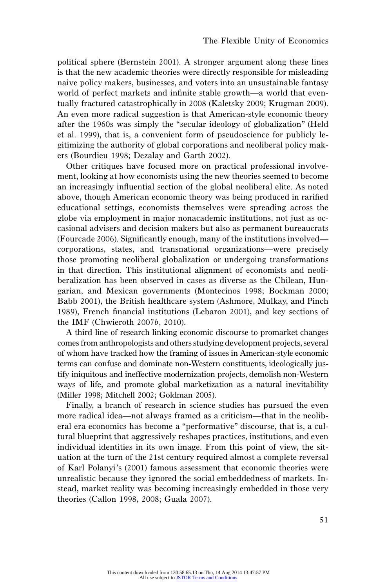political sphere (Bernstein 2001). A stronger argument along these lines is that the new academic theories were directly responsible for misleading naive policy makers, businesses, and voters into an unsustainable fantasy world of perfect markets and infinite stable growth—a world that eventually fractured catastrophically in 2008 (Kaletsky 2009; Krugman 2009). An even more radical suggestion is that American-style economic theory after the 1960s was simply the "secular ideology of globalization" (Held et al. 1999), that is, a convenient form of pseudoscience for publicly legitimizing the authority of global corporations and neoliberal policy makers (Bourdieu 1998; Dezalay and Garth 2002).

Other critiques have focused more on practical professional involvement, looking at how economists using the new theories seemed to become an increasingly influential section of the global neoliberal elite. As noted above, though American economic theory was being produced in rarified educational settings, economists themselves were spreading across the globe via employment in major nonacademic institutions, not just as occasional advisers and decision makers but also as permanent bureaucrats (Fourcade 2006). Significantly enough, many of the institutions involved corporations, states, and transnational organizations—were precisely those promoting neoliberal globalization or undergoing transformations in that direction. This institutional alignment of economists and neoliberalization has been observed in cases as diverse as the Chilean, Hungarian, and Mexican governments (Montecinos 1998; Bockman 2000; Babb 2001), the British healthcare system (Ashmore, Mulkay, and Pinch 1989), French financial institutions (Lebaron 2001), and key sections of the IMF (Chwieroth 2007*b*, 2010).

A third line of research linking economic discourse to promarket changes comes from anthropologists and others studying development projects, several of whom have tracked how the framing of issues in American-style economic terms can confuse and dominate non-Western constituents, ideologically justify iniquitous and ineffective modernization projects, demolish non-Western ways of life, and promote global marketization as a natural inevitability (Miller 1998; Mitchell 2002; Goldman 2005).

Finally, a branch of research in science studies has pursued the even more radical idea—not always framed as a criticism—that in the neoliberal era economics has become a "performative" discourse, that is, a cultural blueprint that aggressively reshapes practices, institutions, and even individual identities in its own image. From this point of view, the situation at the turn of the 21st century required almost a complete reversal of Karl Polanyi's (2001) famous assessment that economic theories were unrealistic because they ignored the social embeddedness of markets. Instead, market reality was becoming increasingly embedded in those very theories (Callon 1998, 2008; Guala 2007).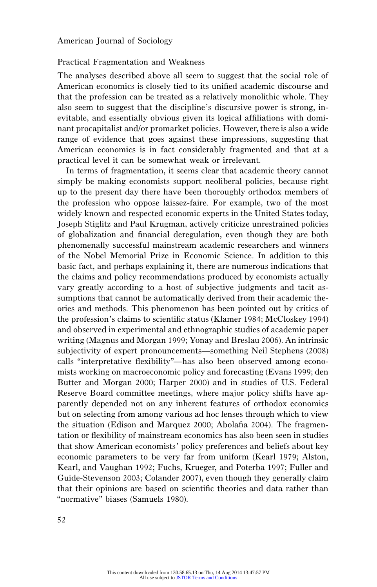#### Practical Fragmentation and Weakness

The analyses described above all seem to suggest that the social role of American economics is closely tied to its unified academic discourse and that the profession can be treated as a relatively monolithic whole. They also seem to suggest that the discipline's discursive power is strong, inevitable, and essentially obvious given its logical affiliations with dominant procapitalist and/or promarket policies. However, there is also a wide range of evidence that goes against these impressions, suggesting that American economics is in fact considerably fragmented and that at a practical level it can be somewhat weak or irrelevant.

In terms of fragmentation, it seems clear that academic theory cannot simply be making economists support neoliberal policies, because right up to the present day there have been thoroughly orthodox members of the profession who oppose laissez-faire. For example, two of the most widely known and respected economic experts in the United States today, Joseph Stiglitz and Paul Krugman, actively criticize unrestrained policies of globalization and financial deregulation, even though they are both phenomenally successful mainstream academic researchers and winners of the Nobel Memorial Prize in Economic Science. In addition to this basic fact, and perhaps explaining it, there are numerous indications that the claims and policy recommendations produced by economists actually vary greatly according to a host of subjective judgments and tacit assumptions that cannot be automatically derived from their academic theories and methods. This phenomenon has been pointed out by critics of the profession's claims to scientific status (Klamer 1984; McCloskey 1994) and observed in experimental and ethnographic studies of academic paper writing (Magnus and Morgan 1999; Yonay and Breslau 2006). An intrinsic subjectivity of expert pronouncements—something Neil Stephens (2008) calls "interpretative flexibility"—has also been observed among economists working on macroeconomic policy and forecasting (Evans 1999; den Butter and Morgan 2000; Harper 2000) and in studies of U.S. Federal Reserve Board committee meetings, where major policy shifts have apparently depended not on any inherent features of orthodox economics but on selecting from among various ad hoc lenses through which to view the situation (Edison and Marquez 2000; Abolafia 2004). The fragmentation or flexibility of mainstream economics has also been seen in studies that show American economists' policy preferences and beliefs about key economic parameters to be very far from uniform (Kearl 1979; Alston, Kearl, and Vaughan 1992; Fuchs, Krueger, and Poterba 1997; Fuller and Guide-Stevenson 2003; Colander 2007), even though they generally claim that their opinions are based on scientific theories and data rather than "normative" biases (Samuels 1980).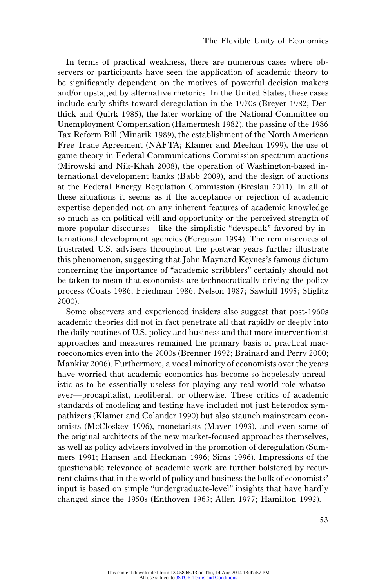In terms of practical weakness, there are numerous cases where observers or participants have seen the application of academic theory to be significantly dependent on the motives of powerful decision makers and/or upstaged by alternative rhetorics. In the United States, these cases include early shifts toward deregulation in the 1970s (Breyer 1982; Derthick and Quirk 1985), the later working of the National Committee on Unemployment Compensation (Hamermesh 1982), the passing of the 1986 Tax Reform Bill (Minarik 1989), the establishment of the North American Free Trade Agreement (NAFTA; Klamer and Meehan 1999), the use of game theory in Federal Communications Commission spectrum auctions (Mirowski and Nik-Khah 2008), the operation of Washington-based international development banks (Babb 2009), and the design of auctions at the Federal Energy Regulation Commission (Breslau 2011). In all of these situations it seems as if the acceptance or rejection of academic expertise depended not on any inherent features of academic knowledge so much as on political will and opportunity or the perceived strength of more popular discourses—like the simplistic "devspeak" favored by international development agencies (Ferguson 1994). The reminiscences of frustrated U.S. advisers throughout the postwar years further illustrate this phenomenon, suggesting that John Maynard Keynes's famous dictum concerning the importance of "academic scribblers" certainly should not be taken to mean that economists are technocratically driving the policy process (Coats 1986; Friedman 1986; Nelson 1987; Sawhill 1995; Stiglitz 2000).

Some observers and experienced insiders also suggest that post-1960s academic theories did not in fact penetrate all that rapidly or deeply into the daily routines of U.S. policy and business and that more interventionist approaches and measures remained the primary basis of practical macroeconomics even into the 2000s (Brenner 1992; Brainard and Perry 2000; Mankiw 2006). Furthermore, a vocal minority of economists over the years have worried that academic economics has become so hopelessly unrealistic as to be essentially useless for playing any real-world role whatsoever—procapitalist, neoliberal, or otherwise. These critics of academic standards of modeling and testing have included not just heterodox sympathizers (Klamer and Colander 1990) but also staunch mainstream economists (McCloskey 1996), monetarists (Mayer 1993), and even some of the original architects of the new market-focused approaches themselves, as well as policy advisers involved in the promotion of deregulation (Summers 1991; Hansen and Heckman 1996; Sims 1996). Impressions of the questionable relevance of academic work are further bolstered by recurrent claims that in the world of policy and business the bulk of economists' input is based on simple "undergraduate-level" insights that have hardly changed since the 1950s (Enthoven 1963; Allen 1977; Hamilton 1992).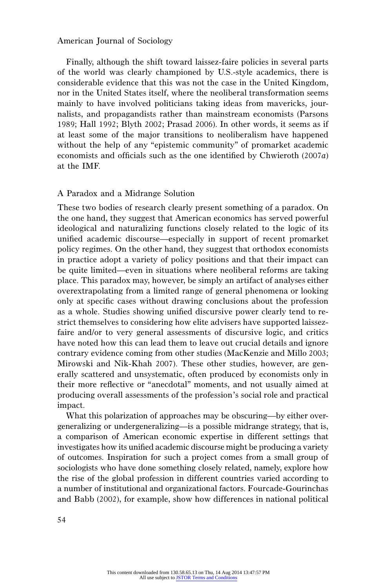Finally, although the shift toward laissez-faire policies in several parts of the world was clearly championed by U.S.-style academics, there is considerable evidence that this was not the case in the United Kingdom, nor in the United States itself, where the neoliberal transformation seems mainly to have involved politicians taking ideas from mavericks, journalists, and propagandists rather than mainstream economists (Parsons 1989; Hall 1992; Blyth 2002; Prasad 2006). In other words, it seems as if at least some of the major transitions to neoliberalism have happened without the help of any "epistemic community" of promarket academic economists and officials such as the one identified by Chwieroth (2007*a*) at the IMF.

#### A Paradox and a Midrange Solution

These two bodies of research clearly present something of a paradox. On the one hand, they suggest that American economics has served powerful ideological and naturalizing functions closely related to the logic of its unified academic discourse—especially in support of recent promarket policy regimes. On the other hand, they suggest that orthodox economists in practice adopt a variety of policy positions and that their impact can be quite limited—even in situations where neoliberal reforms are taking place. This paradox may, however, be simply an artifact of analyses either overextrapolating from a limited range of general phenomena or looking only at specific cases without drawing conclusions about the profession as a whole. Studies showing unified discursive power clearly tend to restrict themselves to considering how elite advisers have supported laissezfaire and/or to very general assessments of discursive logic, and critics have noted how this can lead them to leave out crucial details and ignore contrary evidence coming from other studies (MacKenzie and Millo 2003; Mirowski and Nik-Khah 2007). These other studies, however, are generally scattered and unsystematic, often produced by economists only in their more reflective or "anecdotal" moments, and not usually aimed at producing overall assessments of the profession's social role and practical impact.

What this polarization of approaches may be obscuring—by either overgeneralizing or undergeneralizing—is a possible midrange strategy, that is, a comparison of American economic expertise in different settings that investigates how its unified academic discourse might be producing a variety of outcomes. Inspiration for such a project comes from a small group of sociologists who have done something closely related, namely, explore how the rise of the global profession in different countries varied according to a number of institutional and organizational factors. Fourcade-Gourinchas and Babb (2002), for example, show how differences in national political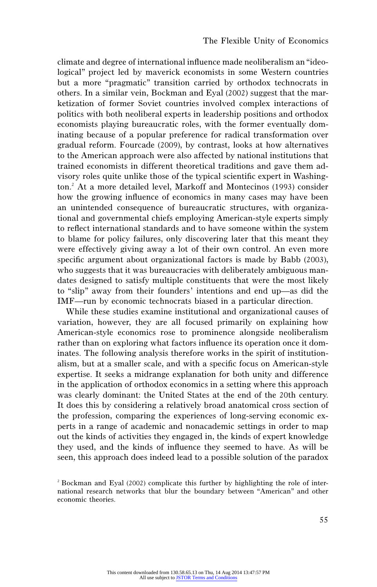climate and degree of international influence made neoliberalism an "ideological" project led by maverick economists in some Western countries but a more "pragmatic" transition carried by orthodox technocrats in others. In a similar vein, Bockman and Eyal (2002) suggest that the marketization of former Soviet countries involved complex interactions of politics with both neoliberal experts in leadership positions and orthodox economists playing bureaucratic roles, with the former eventually dominating because of a popular preference for radical transformation over gradual reform. Fourcade (2009), by contrast, looks at how alternatives to the American approach were also affected by national institutions that trained economists in different theoretical traditions and gave them advisory roles quite unlike those of the typical scientific expert in Washington.2 At a more detailed level, Markoff and Montecinos (1993) consider how the growing influence of economics in many cases may have been an unintended consequence of bureaucratic structures, with organizational and governmental chiefs employing American-style experts simply to reflect international standards and to have someone within the system to blame for policy failures, only discovering later that this meant they were effectively giving away a lot of their own control. An even more specific argument about organizational factors is made by Babb (2003), who suggests that it was bureaucracies with deliberately ambiguous mandates designed to satisfy multiple constituents that were the most likely to "slip" away from their founders' intentions and end up—as did the IMF—run by economic technocrats biased in a particular direction.

While these studies examine institutional and organizational causes of variation, however, they are all focused primarily on explaining how American-style economics rose to prominence alongside neoliberalism rather than on exploring what factors influence its operation once it dominates. The following analysis therefore works in the spirit of institutionalism, but at a smaller scale, and with a specific focus on American-style expertise. It seeks a midrange explanation for both unity and difference in the application of orthodox economics in a setting where this approach was clearly dominant: the United States at the end of the 20th century. It does this by considering a relatively broad anatomical cross section of the profession, comparing the experiences of long-serving economic experts in a range of academic and nonacademic settings in order to map out the kinds of activities they engaged in, the kinds of expert knowledge they used, and the kinds of influence they seemed to have. As will be seen, this approach does indeed lead to a possible solution of the paradox

<sup>2</sup> Bockman and Eyal (2002) complicate this further by highlighting the role of international research networks that blur the boundary between "American" and other economic theories.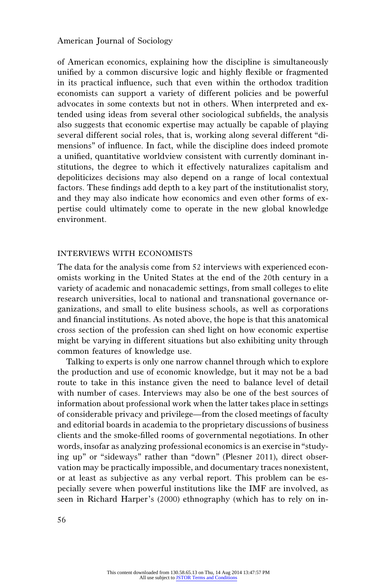of American economics, explaining how the discipline is simultaneously unified by a common discursive logic and highly flexible or fragmented in its practical influence, such that even within the orthodox tradition economists can support a variety of different policies and be powerful advocates in some contexts but not in others. When interpreted and extended using ideas from several other sociological subfields, the analysis also suggests that economic expertise may actually be capable of playing several different social roles, that is, working along several different "dimensions" of influence. In fact, while the discipline does indeed promote a unified, quantitative worldview consistent with currently dominant institutions, the degree to which it effectively naturalizes capitalism and depoliticizes decisions may also depend on a range of local contextual factors. These findings add depth to a key part of the institutionalist story, and they may also indicate how economics and even other forms of expertise could ultimately come to operate in the new global knowledge environment.

#### INTERVIEWS WITH ECONOMISTS

The data for the analysis come from 52 interviews with experienced economists working in the United States at the end of the 20th century in a variety of academic and nonacademic settings, from small colleges to elite research universities, local to national and transnational governance organizations, and small to elite business schools, as well as corporations and financial institutions. As noted above, the hope is that this anatomical cross section of the profession can shed light on how economic expertise might be varying in different situations but also exhibiting unity through common features of knowledge use.

Talking to experts is only one narrow channel through which to explore the production and use of economic knowledge, but it may not be a bad route to take in this instance given the need to balance level of detail with number of cases. Interviews may also be one of the best sources of information about professional work when the latter takes place in settings of considerable privacy and privilege—from the closed meetings of faculty and editorial boards in academia to the proprietary discussions of business clients and the smoke-filled rooms of governmental negotiations. In other words, insofar as analyzing professional economics is an exercise in "studying up" or "sideways" rather than "down" (Plesner 2011), direct observation may be practically impossible, and documentary traces nonexistent, or at least as subjective as any verbal report. This problem can be especially severe when powerful institutions like the IMF are involved, as seen in Richard Harper's (2000) ethnography (which has to rely on in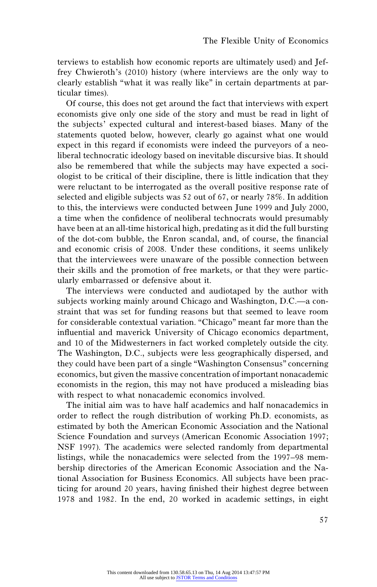terviews to establish how economic reports are ultimately used) and Jeffrey Chwieroth's (2010) history (where interviews are the only way to clearly establish "what it was really like" in certain departments at particular times).

Of course, this does not get around the fact that interviews with expert economists give only one side of the story and must be read in light of the subjects' expected cultural and interest-based biases. Many of the statements quoted below, however, clearly go against what one would expect in this regard if economists were indeed the purveyors of a neoliberal technocratic ideology based on inevitable discursive bias. It should also be remembered that while the subjects may have expected a sociologist to be critical of their discipline, there is little indication that they were reluctant to be interrogated as the overall positive response rate of selected and eligible subjects was 52 out of 67, or nearly 78%. In addition to this, the interviews were conducted between June 1999 and July 2000, a time when the confidence of neoliberal technocrats would presumably have been at an all-time historical high, predating as it did the full bursting of the dot-com bubble, the Enron scandal, and, of course, the financial and economic crisis of 2008. Under these conditions, it seems unlikely that the interviewees were unaware of the possible connection between their skills and the promotion of free markets, or that they were particularly embarrassed or defensive about it.

The interviews were conducted and audiotaped by the author with subjects working mainly around Chicago and Washington, D.C.—a constraint that was set for funding reasons but that seemed to leave room for considerable contextual variation. "Chicago" meant far more than the influential and maverick University of Chicago economics department, and 10 of the Midwesterners in fact worked completely outside the city. The Washington, D.C., subjects were less geographically dispersed, and they could have been part of a single "Washington Consensus" concerning economics, but given the massive concentration of important nonacademic economists in the region, this may not have produced a misleading bias with respect to what nonacademic economics involved.

The initial aim was to have half academics and half nonacademics in order to reflect the rough distribution of working Ph.D. economists, as estimated by both the American Economic Association and the National Science Foundation and surveys (American Economic Association 1997; NSF 1997). The academics were selected randomly from departmental listings, while the nonacademics were selected from the 1997–98 membership directories of the American Economic Association and the National Association for Business Economics. All subjects have been practicing for around 20 years, having finished their highest degree between 1978 and 1982. In the end, 20 worked in academic settings, in eight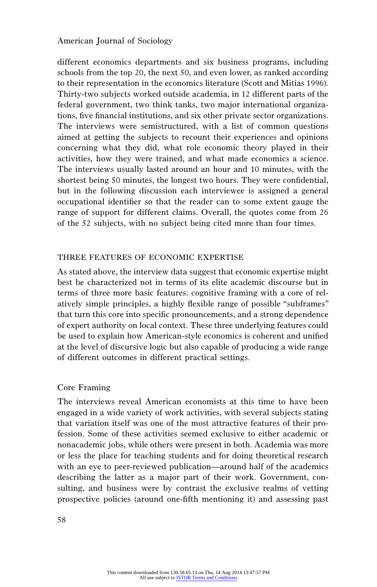different economics departments and six business programs, including schools from the top 20, the next 50, and even lower, as ranked according to their representation in the economics literature (Scott and Mitias 1996). Thirty-two subjects worked outside academia, in 12 different parts of the federal government, two think tanks, two major international organizations, five financial institutions, and six other private sector organizations. The interviews were semistructured, with a list of common questions aimed at getting the subjects to recount their experiences and opinions concerning what they did, what role economic theory played in their activities, how they were trained, and what made economics a science. The interviews usually lasted around an hour and 10 minutes, with the shortest being 50 minutes, the longest two hours. They were confidential, but in the following discussion each interviewee is assigned a general occupational identifier so that the reader can to some extent gauge the range of support for different claims. Overall, the quotes come from 26 of the 52 subjects, with no subject being cited more than four times.

#### THREE FEATURES OF ECONOMIC EXPERTISE

As stated above, the interview data suggest that economic expertise might best be characterized not in terms of its elite academic discourse but in terms of three more basic features: cognitive framing with a core of relatively simple principles, a highly flexible range of possible "subframes" that turn this core into specific pronouncements, and a strong dependence of expert authority on local context. These three underlying features could be used to explain how American-style economics is coherent and unified at the level of discursive logic but also capable of producing a wide range of different outcomes in different practical settings.

#### Core Framing

The interviews reveal American economists at this time to have been engaged in a wide variety of work activities, with several subjects stating that variation itself was one of the most attractive features of their profession. Some of these activities seemed exclusive to either academic or nonacademic jobs, while others were present in both. Academia was more or less the place for teaching students and for doing theoretical research with an eye to peer-reviewed publication—around half of the academics describing the latter as a major part of their work. Government, consulting, and business were by contrast the exclusive realms of vetting prospective policies (around one-fifth mentioning it) and assessing past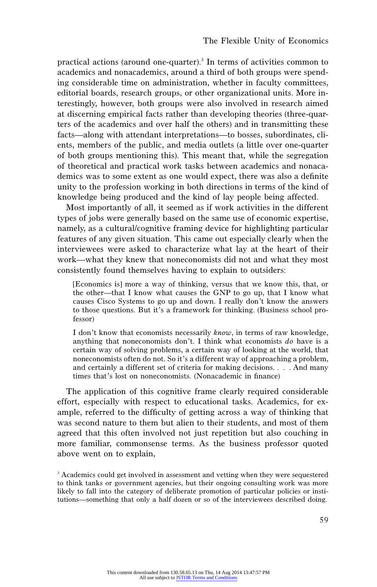practical actions (around one-quarter).<sup>3</sup> In terms of activities common to academics and nonacademics, around a third of both groups were spending considerable time on administration, whether in faculty committees, editorial boards, research groups, or other organizational units. More interestingly, however, both groups were also involved in research aimed at discerning empirical facts rather than developing theories (three-quarters of the academics and over half the others) and in transmitting these facts—along with attendant interpretations—to bosses, subordinates, clients, members of the public, and media outlets (a little over one-quarter of both groups mentioning this). This meant that, while the segregation of theoretical and practical work tasks between academics and nonacademics was to some extent as one would expect, there was also a definite unity to the profession working in both directions in terms of the kind of knowledge being produced and the kind of lay people being affected.

Most importantly of all, it seemed as if work activities in the different types of jobs were generally based on the same use of economic expertise, namely, as a cultural/cognitive framing device for highlighting particular features of any given situation. This came out especially clearly when the interviewees were asked to characterize what lay at the heart of their work—what they knew that noneconomists did not and what they most consistently found themselves having to explain to outsiders:

[Economics is] more a way of thinking, versus that we know this, that, or the other—that I know what causes the GNP to go up, that I know what causes Cisco Systems to go up and down. I really don't know the answers to those questions. But it's a framework for thinking. (Business school professor)

I don't know that economists necessarily *know*, in terms of raw knowledge, anything that noneconomists don't. I think what economists *do* have is a certain way of solving problems, a certain way of looking at the world, that noneconomists often do not. So it's a different way of approaching a problem, and certainly a different set of criteria for making decisions. . . . And many times that's lost on noneconomists. (Nonacademic in finance)

The application of this cognitive frame clearly required considerable effort, especially with respect to educational tasks. Academics, for example, referred to the difficulty of getting across a way of thinking that was second nature to them but alien to their students, and most of them agreed that this often involved not just repetition but also couching in more familiar, commonsense terms. As the business professor quoted above went on to explain,

<sup>3</sup> Academics could get involved in assessment and vetting when they were sequestered to think tanks or government agencies, but their ongoing consulting work was more likely to fall into the category of deliberate promotion of particular policies or institutions—something that only a half dozen or so of the interviewees described doing.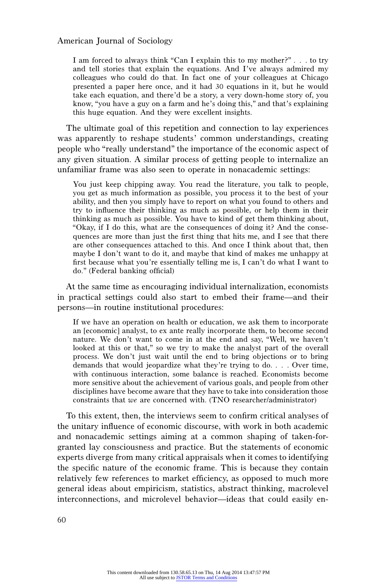I am forced to always think "Can I explain this to my mother?" . . . to try and tell stories that explain the equations. And I've always admired my colleagues who could do that. In fact one of your colleagues at Chicago presented a paper here once, and it had 30 equations in it, but he would take each equation, and there'd be a story, a very down-home story of, you know, "you have a guy on a farm and he's doing this," and that's explaining this huge equation. And they were excellent insights.

The ultimate goal of this repetition and connection to lay experiences was apparently to reshape students' common understandings, creating people who "really understand" the importance of the economic aspect of any given situation. A similar process of getting people to internalize an unfamiliar frame was also seen to operate in nonacademic settings:

You just keep chipping away. You read the literature, you talk to people, you get as much information as possible, you process it to the best of your ability, and then you simply have to report on what you found to others and try to influence their thinking as much as possible, or help them in their thinking as much as possible. You have to kind of get them thinking about, "Okay, if I do this, what are the consequences of doing it? And the consequences are more than just the first thing that hits me, and I see that there are other consequences attached to this. And once I think about that, then maybe I don't want to do it, and maybe that kind of makes me unhappy at first because what you're essentially telling me is, I can't do what I want to do." (Federal banking official)

At the same time as encouraging individual internalization, economists in practical settings could also start to embed their frame—and their persons—in routine institutional procedures:

If we have an operation on health or education, we ask them to incorporate an [economic] analyst, to ex ante really incorporate them, to become second nature. We don't want to come in at the end and say, "Well, we haven't looked at this or that," so we try to make the analyst part of the overall process. We don't just wait until the end to bring objections or to bring demands that would jeopardize what they're trying to do. . . . Over time, with continuous interaction, some balance is reached. Economists become more sensitive about the achievement of various goals, and people from other disciplines have become aware that they have to take into consideration those constraints that *we* are concerned with. (TNO researcher/administrator)

To this extent, then, the interviews seem to confirm critical analyses of the unitary influence of economic discourse, with work in both academic and nonacademic settings aiming at a common shaping of taken-forgranted lay consciousness and practice. But the statements of economic experts diverge from many critical appraisals when it comes to identifying the specific nature of the economic frame. This is because they contain relatively few references to market efficiency, as opposed to much more general ideas about empiricism, statistics, abstract thinking, macrolevel interconnections, and microlevel behavior—ideas that could easily en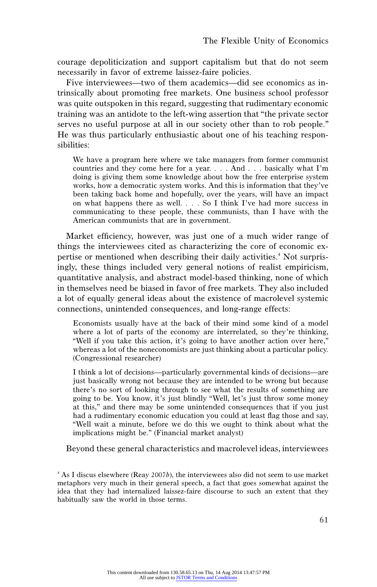courage depoliticization and support capitalism but that do not seem necessarily in favor of extreme laissez-faire policies.

Five interviewees—two of them academics—did see economics as intrinsically about promoting free markets. One business school professor was quite outspoken in this regard, suggesting that rudimentary economic training was an antidote to the left-wing assertion that "the private sector serves no useful purpose at all in our society other than to rob people." He was thus particularly enthusiastic about one of his teaching responsibilities:

We have a program here where we take managers from former communist countries and they come here for a year. . . . And . . . basically what I'm doing is giving them some knowledge about how the free enterprise system works, how a democratic system works. And this is information that they've been taking back home and hopefully, over the years, will have an impact on what happens there as well. . . . So I think I've had more success in communicating to these people, these communists, than I have with the American communists that are in government.

Market efficiency, however, was just one of a much wider range of things the interviewees cited as characterizing the core of economic expertise or mentioned when describing their daily activities.<sup>4</sup> Not surprisingly, these things included very general notions of realist empiricism, quantitative analysis, and abstract model-based thinking, none of which in themselves need be biased in favor of free markets. They also included a lot of equally general ideas about the existence of macrolevel systemic connections, unintended consequences, and long-range effects:

Economists usually have at the back of their mind some kind of a model where a lot of parts of the economy are interrelated, so they're thinking, "Well if you take this action, it's going to have another action over here," whereas a lot of the noneconomists are just thinking about a particular policy. (Congressional researcher)

I think a lot of decisions—particularly governmental kinds of decisions—are just basically wrong not because they are intended to be wrong but because there's no sort of looking through to see what the results of something are going to be. You know, it's just blindly "Well, let's just throw some money at this," and there may be some unintended consequences that if you just had a rudimentary economic education you could at least flag those and say, "Well wait a minute, before we do this we ought to think about what the implications might be." (Financial market analyst)

Beyond these general characteristics and macrolevel ideas, interviewees

<sup>4</sup> As I discus elsewhere (Reay 2007*b*), the interviewees also did not seem to use market metaphors very much in their general speech, a fact that goes somewhat against the idea that they had internalized laissez-faire discourse to such an extent that they habitually saw the world in those terms.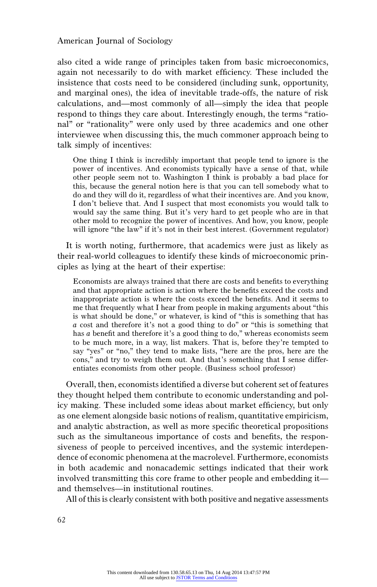also cited a wide range of principles taken from basic microeconomics, again not necessarily to do with market efficiency. These included the insistence that costs need to be considered (including sunk, opportunity, and marginal ones), the idea of inevitable trade-offs, the nature of risk calculations, and—most commonly of all—simply the idea that people respond to things they care about. Interestingly enough, the terms "rational" or "rationality" were only used by three academics and one other interviewee when discussing this, the much commoner approach being to talk simply of incentives:

One thing I think is incredibly important that people tend to ignore is the power of incentives. And economists typically have a sense of that, while other people seem not to. Washington I think is probably a bad place for this, because the general notion here is that you can tell somebody what to do and they will do it, regardless of what their incentives are. And you know, I don't believe that. And I suspect that most economists you would talk to would say the same thing. But it's very hard to get people who are in that other mold to recognize the power of incentives. And how, you know, people will ignore "the law" if it's not in their best interest. (Government regulator)

It is worth noting, furthermore, that academics were just as likely as their real-world colleagues to identify these kinds of microeconomic principles as lying at the heart of their expertise:

Economists are always trained that there are costs and benefits to everything and that appropriate action is action where the benefits exceed the costs and inappropriate action is where the costs exceed the benefits. And it seems to me that frequently what I hear from people in making arguments about "this is what should be done," or whatever, is kind of "this is something that has *a* cost and therefore it's not a good thing to do" or "this is something that has *a* benefit and therefore it's a good thing to do," whereas economists seem to be much more, in a way, list makers. That is, before they're tempted to say "yes" or "no," they tend to make lists, "here are the pros, here are the cons," and try to weigh them out. And that's something that I sense differentiates economists from other people. (Business school professor)

Overall, then, economists identified a diverse but coherent set of features they thought helped them contribute to economic understanding and policy making. These included some ideas about market efficiency, but only as one element alongside basic notions of realism, quantitative empiricism, and analytic abstraction, as well as more specific theoretical propositions such as the simultaneous importance of costs and benefits, the responsiveness of people to perceived incentives, and the systemic interdependence of economic phenomena at the macrolevel. Furthermore, economists in both academic and nonacademic settings indicated that their work involved transmitting this core frame to other people and embedding it and themselves—in institutional routines.

All of this is clearly consistent with both positive and negative assessments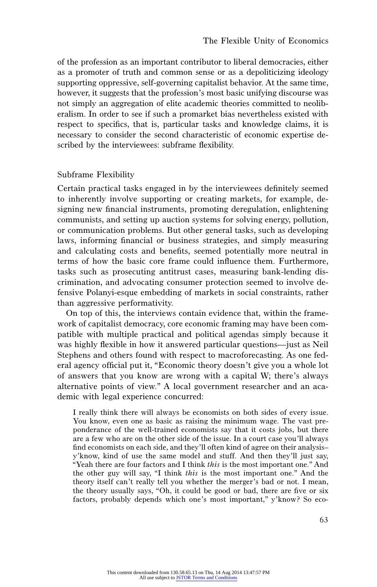of the profession as an important contributor to liberal democracies, either as a promoter of truth and common sense or as a depoliticizing ideology supporting oppressive, self-governing capitalist behavior. At the same time, however, it suggests that the profession's most basic unifying discourse was not simply an aggregation of elite academic theories committed to neoliberalism. In order to see if such a promarket bias nevertheless existed with respect to specifics, that is, particular tasks and knowledge claims, it is necessary to consider the second characteristic of economic expertise described by the interviewees: subframe flexibility.

#### Subframe Flexibility

Certain practical tasks engaged in by the interviewees definitely seemed to inherently involve supporting or creating markets, for example, designing new financial instruments, promoting deregulation, enlightening communists, and setting up auction systems for solving energy, pollution, or communication problems. But other general tasks, such as developing laws, informing financial or business strategies, and simply measuring and calculating costs and benefits, seemed potentially more neutral in terms of how the basic core frame could influence them. Furthermore, tasks such as prosecuting antitrust cases, measuring bank-lending discrimination, and advocating consumer protection seemed to involve defensive Polanyi-esque embedding of markets in social constraints, rather than aggressive performativity.

On top of this, the interviews contain evidence that, within the framework of capitalist democracy, core economic framing may have been compatible with multiple practical and political agendas simply because it was highly flexible in how it answered particular questions—just as Neil Stephens and others found with respect to macroforecasting. As one federal agency official put it, "Economic theory doesn't give you a whole lot of answers that you know are wrong with a capital W; there's always alternative points of view." A local government researcher and an academic with legal experience concurred:

I really think there will always be economists on both sides of every issue. You know, even one as basic as raising the minimum wage. The vast preponderance of the well-trained economists say that it costs jobs, but there are a few who are on the other side of the issue. In a court case you'll always find economists on each side, and they'll often kind of agree on their analysis– y'know, kind of use the same model and stuff. And then they'll just say, "Yeah there are four factors and I think *this* is the most important one." And the other guy will say, "I think *this* is the most important one." And the theory itself can't really tell you whether the merger's bad or not. I mean, the theory usually says, "Oh, it could be good or bad, there are five or six factors, probably depends which one's most important," y'know? So eco-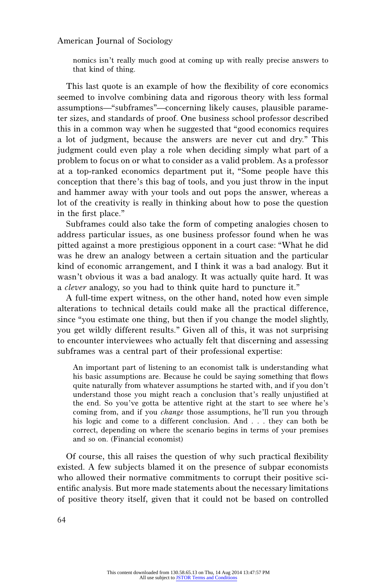nomics isn't really much good at coming up with really precise answers to that kind of thing.

This last quote is an example of how the flexibility of core economics seemed to involve combining data and rigorous theory with less formal assumptions—"subframes"—concerning likely causes, plausible parameter sizes, and standards of proof. One business school professor described this in a common way when he suggested that "good economics requires a lot of judgment, because the answers are never cut and dry." This judgment could even play a role when deciding simply what part of a problem to focus on or what to consider as a valid problem. As a professor at a top-ranked economics department put it, "Some people have this conception that there's this bag of tools, and you just throw in the input and hammer away with your tools and out pops the answer, whereas a lot of the creativity is really in thinking about how to pose the question in the first place."

Subframes could also take the form of competing analogies chosen to address particular issues, as one business professor found when he was pitted against a more prestigious opponent in a court case: "What he did was he drew an analogy between a certain situation and the particular kind of economic arrangement, and I think it was a bad analogy. But it wasn't obvious it was a bad analogy. It was actually quite hard. It was a *clever* analogy, so you had to think quite hard to puncture it."

A full-time expert witness, on the other hand, noted how even simple alterations to technical details could make all the practical difference, since "you estimate one thing, but then if you change the model slightly, you get wildly different results." Given all of this, it was not surprising to encounter interviewees who actually felt that discerning and assessing subframes was a central part of their professional expertise:

An important part of listening to an economist talk is understanding what his basic assumptions are. Because he could be saying something that flows quite naturally from whatever assumptions he started with, and if you don't understand those you might reach a conclusion that's really unjustified at the end. So you've gotta be attentive right at the start to see where he's coming from, and if you *change* those assumptions, he'll run you through his logic and come to a different conclusion. And . . . they can both be correct, depending on where the scenario begins in terms of your premises and so on. (Financial economist)

Of course, this all raises the question of why such practical flexibility existed. A few subjects blamed it on the presence of subpar economists who allowed their normative commitments to corrupt their positive scientific analysis. But more made statements about the necessary limitations of positive theory itself, given that it could not be based on controlled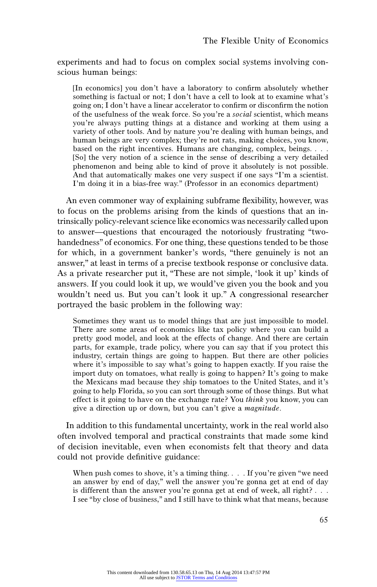experiments and had to focus on complex social systems involving conscious human beings:

[In economics] you don't have a laboratory to confirm absolutely whether something is factual or not; I don't have a cell to look at to examine what's going on; I don't have a linear accelerator to confirm or disconfirm the notion of the usefulness of the weak force. So you're a *social* scientist, which means you're always putting things at a distance and working at them using a variety of other tools. And by nature you're dealing with human beings, and human beings are very complex; they're not rats, making choices, you know, based on the right incentives. Humans are changing, complex, beings. . . . [So] the very notion of a science in the sense of describing a very detailed phenomenon and being able to kind of prove it absolutely is not possible. And that automatically makes one very suspect if one says "I'm a scientist. I'm doing it in a bias-free way." (Professor in an economics department)

An even commoner way of explaining subframe flexibility, however, was to focus on the problems arising from the kinds of questions that an intrinsically policy-relevant science like economics was necessarily called upon to answer—questions that encouraged the notoriously frustrating "twohandedness" of economics. For one thing, these questions tended to be those for which, in a government banker's words, "there genuinely is not an answer," at least in terms of a precise textbook response or conclusive data. As a private researcher put it, "These are not simple, 'look it up' kinds of answers. If you could look it up, we would've given you the book and you wouldn't need us. But you can't look it up." A congressional researcher portrayed the basic problem in the following way:

Sometimes they want us to model things that are just impossible to model. There are some areas of economics like tax policy where you can build a pretty good model, and look at the effects of change. And there are certain parts, for example, trade policy, where you can say that if you protect this industry, certain things are going to happen. But there are other policies where it's impossible to say what's going to happen exactly. If you raise the import duty on tomatoes, what really is going to happen? It's going to make the Mexicans mad because they ship tomatoes to the United States, and it's going to help Florida, so you can sort through some of those things. But what effect is it going to have on the exchange rate? You *think* you know, you can give a direction up or down, but you can't give a *magnitude*.

In addition to this fundamental uncertainty, work in the real world also often involved temporal and practical constraints that made some kind of decision inevitable, even when economists felt that theory and data could not provide definitive guidance:

When push comes to shove, it's a timing thing. . . . If you're given "we need an answer by end of day," well the answer you're gonna get at end of day is different than the answer you're gonna get at end of week, all right? . . . I see "by close of business," and I still have to think what that means, because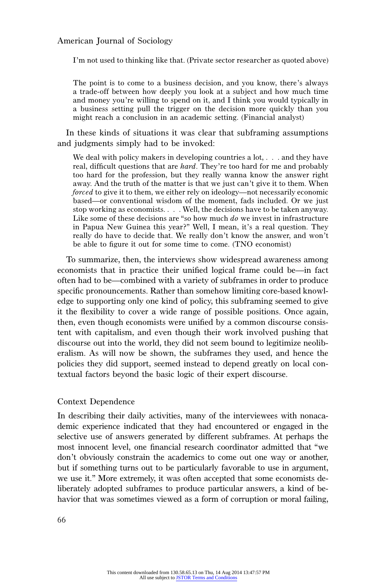I'm not used to thinking like that. (Private sector researcher as quoted above)

The point is to come to a business decision, and you know, there's always a trade-off between how deeply you look at a subject and how much time and money you're willing to spend on it, and I think you would typically in a business setting pull the trigger on the decision more quickly than you might reach a conclusion in an academic setting. (Financial analyst)

In these kinds of situations it was clear that subframing assumptions and judgments simply had to be invoked:

We deal with policy makers in developing countries a lot, . . . . and they have real, difficult questions that are *hard*. They're too hard for me and probably too hard for the profession, but they really wanna know the answer right away. And the truth of the matter is that we just can't give it to them. When *forced* to give it to them, we either rely on ideology—not necessarily economic based—or conventional wisdom of the moment, fads included. Or we just stop working as economists. . . . Well, the decisions have to be taken anyway. Like some of these decisions are "so how much *do* we invest in infrastructure in Papua New Guinea this year?" Well, I mean, it's a real question. They really do have to decide that. We really don't know the answer, and won't be able to figure it out for some time to come. (TNO economist)

To summarize, then, the interviews show widespread awareness among economists that in practice their unified logical frame could be—in fact often had to be—combined with a variety of subframes in order to produce specific pronouncements. Rather than somehow limiting core-based knowledge to supporting only one kind of policy, this subframing seemed to give it the flexibility to cover a wide range of possible positions. Once again, then, even though economists were unified by a common discourse consistent with capitalism, and even though their work involved pushing that discourse out into the world, they did not seem bound to legitimize neoliberalism. As will now be shown, the subframes they used, and hence the policies they did support, seemed instead to depend greatly on local contextual factors beyond the basic logic of their expert discourse.

#### Context Dependence

In describing their daily activities, many of the interviewees with nonacademic experience indicated that they had encountered or engaged in the selective use of answers generated by different subframes. At perhaps the most innocent level, one financial research coordinator admitted that "we don't obviously constrain the academics to come out one way or another, but if something turns out to be particularly favorable to use in argument, we use it." More extremely, it was often accepted that some economists deliberately adopted subframes to produce particular answers, a kind of behavior that was sometimes viewed as a form of corruption or moral failing,

66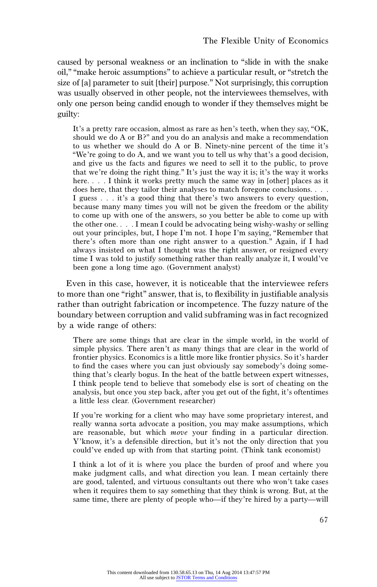caused by personal weakness or an inclination to "slide in with the snake oil," "make heroic assumptions" to achieve a particular result, or "stretch the size of [a] parameter to suit [their] purpose." Not surprisingly, this corruption was usually observed in other people, not the interviewees themselves, with only one person being candid enough to wonder if they themselves might be guilty:

It's a pretty rare occasion, almost as rare as hen's teeth, when they say, "OK, should we do A or B?" and you do an analysis and make a recommendation to us whether we should do A or B. Ninety-nine percent of the time it's "We're going to do A, and we want you to tell us why that's a good decision, and give us the facts and figures we need to sell it to the public, to prove that we're doing the right thing." It's just the way it is; it's the way it works here. . . . I think it works pretty much the same way in [other] places as it does here, that they tailor their analyses to match foregone conclusions. . . . I guess . . . it's a good thing that there's two answers to every question, because many many times you will not be given the freedom or the ability to come up with one of the answers, so you better be able to come up with the other one. . . . I mean I could be advocating being wishy-washy or selling out your principles, but, I hope I'm not. I hope I'm saying, "Remember that there's often more than one right answer to a question." Again, if I had always insisted on what I thought was the right answer, or resigned every time I was told to justify something rather than really analyze it, I would've been gone a long time ago. (Government analyst)

Even in this case, however, it is noticeable that the interviewee refers to more than one "right" answer, that is, to flexibility in justifiable analysis rather than outright fabrication or incompetence. The fuzzy nature of the boundary between corruption and valid subframing was in fact recognized by a wide range of others:

There are some things that are clear in the simple world, in the world of simple physics. There aren't as many things that are clear in the world of frontier physics. Economics is a little more like frontier physics. So it's harder to find the cases where you can just obviously say somebody's doing something that's clearly bogus. In the heat of the battle between expert witnesses, I think people tend to believe that somebody else is sort of cheating on the analysis, but once you step back, after you get out of the fight, it's oftentimes a little less clear. (Government researcher)

If you're working for a client who may have some proprietary interest, and really wanna sorta advocate a position, you may make assumptions, which are reasonable, but which *move* your finding in a particular direction. Y'know, it's a defensible direction, but it's not the only direction that you could've ended up with from that starting point. (Think tank economist)

I think a lot of it is where you place the burden of proof and where you make judgment calls, and what direction you lean. I mean certainly there are good, talented, and virtuous consultants out there who won't take cases when it requires them to say something that they think is wrong. But, at the same time, there are plenty of people who—if they're hired by a party—will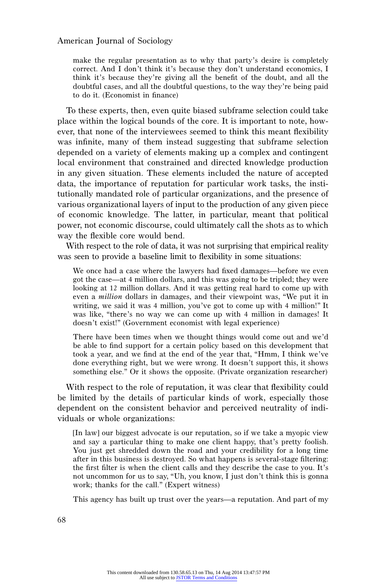make the regular presentation as to why that party's desire is completely correct. And I don't think it's because they don't understand economics, I think it's because they're giving all the benefit of the doubt, and all the doubtful cases, and all the doubtful questions, to the way they're being paid to do it. (Economist in finance)

To these experts, then, even quite biased subframe selection could take place within the logical bounds of the core. It is important to note, however, that none of the interviewees seemed to think this meant flexibility was infinite, many of them instead suggesting that subframe selection depended on a variety of elements making up a complex and contingent local environment that constrained and directed knowledge production in any given situation. These elements included the nature of accepted data, the importance of reputation for particular work tasks, the institutionally mandated role of particular organizations, and the presence of various organizational layers of input to the production of any given piece of economic knowledge. The latter, in particular, meant that political power, not economic discourse, could ultimately call the shots as to which way the flexible core would bend.

With respect to the role of data, it was not surprising that empirical reality was seen to provide a baseline limit to flexibility in some situations:

We once had a case where the lawyers had fixed damages—before we even got the case—at 4 million dollars, and this was going to be tripled; they were looking at 12 million dollars. And it was getting real hard to come up with even a *million* dollars in damages, and their viewpoint was, "We put it in writing, we said it was 4 million, you've got to come up with 4 million!" It was like, "there's no way we can come up with 4 million in damages! It doesn't exist!" (Government economist with legal experience)

There have been times when we thought things would come out and we'd be able to find support for a certain policy based on this development that took a year, and we find at the end of the year that, "Hmm, I think we've done everything right, but we were wrong. It doesn't support this, it shows something else." Or it shows the opposite. (Private organization researcher)

With respect to the role of reputation, it was clear that flexibility could be limited by the details of particular kinds of work, especially those dependent on the consistent behavior and perceived neutrality of individuals or whole organizations:

[In law] our biggest advocate is our reputation, so if we take a myopic view and say a particular thing to make one client happy, that's pretty foolish. You just get shredded down the road and your credibility for a long time after in this business is destroyed. So what happens is several-stage filtering: the first filter is when the client calls and they describe the case to you. It's not uncommon for us to say, "Uh, you know, I just don't think this is gonna work; thanks for the call." (Expert witness)

This agency has built up trust over the years—a reputation. And part of my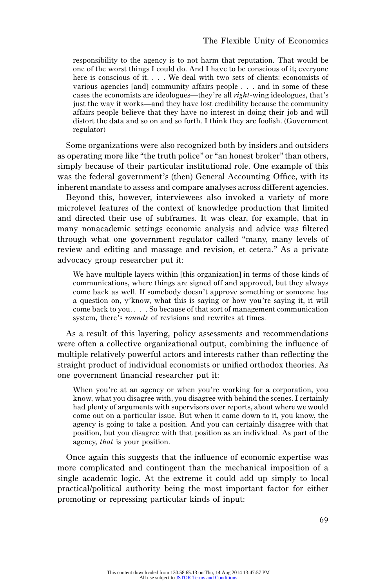responsibility to the agency is to not harm that reputation. That would be one of the worst things I could do. And I have to be conscious of it; everyone here is conscious of it. . . . We deal with two sets of clients: economists of various agencies [and] community affairs people . . . and in some of these cases the economists are ideologues—they're all *right*-wing ideologues, that's just the way it works—and they have lost credibility because the community affairs people believe that they have no interest in doing their job and will distort the data and so on and so forth. I think they are foolish. (Government regulator)

Some organizations were also recognized both by insiders and outsiders as operating more like "the truth police" or "an honest broker" than others, simply because of their particular institutional role. One example of this was the federal government's (then) General Accounting Office, with its inherent mandate to assess and compare analyses across different agencies.

Beyond this, however, interviewees also invoked a variety of more microlevel features of the context of knowledge production that limited and directed their use of subframes. It was clear, for example, that in many nonacademic settings economic analysis and advice was filtered through what one government regulator called "many, many levels of review and editing and massage and revision, et cetera." As a private advocacy group researcher put it:

We have multiple layers within [this organization] in terms of those kinds of communications, where things are signed off and approved, but they always come back as well. If somebody doesn't approve something or someone has a question on, y'know, what this is saying or how you're saying it, it will come back to you. . . . So because of that sort of management communication system, there's *rounds* of revisions and rewrites at times.

As a result of this layering, policy assessments and recommendations were often a collective organizational output, combining the influence of multiple relatively powerful actors and interests rather than reflecting the straight product of individual economists or unified orthodox theories. As one government financial researcher put it:

When you're at an agency or when you're working for a corporation, you know, what you disagree with, you disagree with behind the scenes. I certainly had plenty of arguments with supervisors over reports, about where we would come out on a particular issue. But when it came down to it, you know, the agency is going to take a position. And you can certainly disagree with that position, but you disagree with that position as an individual. As part of the agency, *that* is your position.

Once again this suggests that the influence of economic expertise was more complicated and contingent than the mechanical imposition of a single academic logic. At the extreme it could add up simply to local practical/political authority being the most important factor for either promoting or repressing particular kinds of input: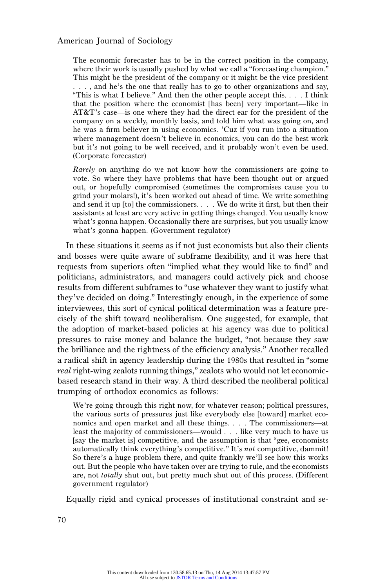The economic forecaster has to be in the correct position in the company, where their work is usually pushed by what we call a "forecasting champion." This might be the president of the company or it might be the vice president . . . , and he's the one that really has to go to other organizations and say, "This is what I believe." And then the other people accept this. . . . I think that the position where the economist [has been] very important—like in AT&T's case—is one where they had the direct ear for the president of the company on a weekly, monthly basis, and told him what was going on, and he was a firm believer in using economics. 'Cuz if you run into a situation where management doesn't believe in economics, you can do the best work but it's not going to be well received, and it probably won't even be used. (Corporate forecaster)

*Rarely* on anything do we not know how the commissioners are going to vote. So where they have problems that have been thought out or argued out, or hopefully compromised (sometimes the compromises cause you to grind your molars!), it's been worked out ahead of time. We write something and send it up [to] the commissioners. . . . We do write it first, but then their assistants at least are very active in getting things changed. You usually know what's gonna happen. Occasionally there are surprises, but you usually know what's gonna happen. (Government regulator)

In these situations it seems as if not just economists but also their clients and bosses were quite aware of subframe flexibility, and it was here that requests from superiors often "implied what they would like to find" and politicians, administrators, and managers could actively pick and choose results from different subframes to "use whatever they want to justify what they've decided on doing." Interestingly enough, in the experience of some interviewees, this sort of cynical political determination was a feature precisely of the shift toward neoliberalism. One suggested, for example, that the adoption of market-based policies at his agency was due to political pressures to raise money and balance the budget, "not because they saw the brilliance and the rightness of the efficiency analysis." Another recalled a radical shift in agency leadership during the 1980s that resulted in "some *real* right-wing zealots running things," zealots who would not let economicbased research stand in their way. A third described the neoliberal political trumping of orthodox economics as follows:

We're going through this right now, for whatever reason; political pressures, the various sorts of pressures just like everybody else [toward] market economics and open market and all these things. . . . The commissioners—at least the majority of commissioners—would . . . like very much to have us [say the market is] competitive, and the assumption is that "gee, economists automatically think everything's competitive." It's *not* competitive, dammit! So there's a huge problem there, and quite frankly we'll see how this works out. But the people who have taken over are trying to rule, and the economists are, not *totally* shut out, but pretty much shut out of this process. (Different government regulator)

Equally rigid and cynical processes of institutional constraint and se-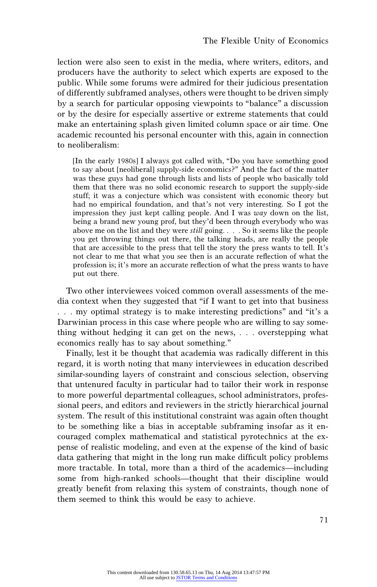lection were also seen to exist in the media, where writers, editors, and producers have the authority to select which experts are exposed to the public. While some forums were admired for their judicious presentation of differently subframed analyses, others were thought to be driven simply by a search for particular opposing viewpoints to "balance" a discussion or by the desire for especially assertive or extreme statements that could make an entertaining splash given limited column space or air time. One academic recounted his personal encounter with this, again in connection to neoliberalism:

[In the early 1980s] I always got called with, "Do you have something good to say about [neoliberal] supply-side economics?" And the fact of the matter was these guys had gone through lists and lists of people who basically told them that there was no solid economic research to support the supply-side stuff; it was a conjecture which was consistent with economic theory but had no empirical foundation, and that's not very interesting. So I got the impression they just kept calling people. And I was *way* down on the list, being a brand new young prof, but they'd been through everybody who was above me on the list and they were *still* going. . . . So it seems like the people you get throwing things out there, the talking heads, are really the people that are accessible to the press that tell the story the press wants to tell. It's not clear to me that what you see then is an accurate reflection of what the profession is; it's more an accurate reflection of what the press wants to have put out there.

Two other interviewees voiced common overall assessments of the media context when they suggested that "if I want to get into that business . . . my optimal strategy is to make interesting predictions" and "it's a Darwinian process in this case where people who are willing to say something without hedging it can get on the news, . . . overstepping what economics really has to say about something."

Finally, lest it be thought that academia was radically different in this regard, it is worth noting that many interviewees in education described similar-sounding layers of constraint and conscious selection, observing that untenured faculty in particular had to tailor their work in response to more powerful departmental colleagues, school administrators, professional peers, and editors and reviewers in the strictly hierarchical journal system. The result of this institutional constraint was again often thought to be something like a bias in acceptable subframing insofar as it encouraged complex mathematical and statistical pyrotechnics at the expense of realistic modeling, and even at the expense of the kind of basic data gathering that might in the long run make difficult policy problems more tractable. In total, more than a third of the academics—including some from high-ranked schools—thought that their discipline would greatly benefit from relaxing this system of constraints, though none of them seemed to think this would be easy to achieve.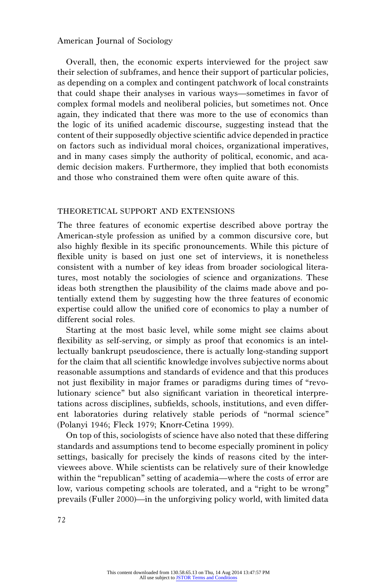Overall, then, the economic experts interviewed for the project saw their selection of subframes, and hence their support of particular policies, as depending on a complex and contingent patchwork of local constraints that could shape their analyses in various ways—sometimes in favor of complex formal models and neoliberal policies, but sometimes not. Once again, they indicated that there was more to the use of economics than the logic of its unified academic discourse, suggesting instead that the content of their supposedly objective scientific advice depended in practice on factors such as individual moral choices, organizational imperatives, and in many cases simply the authority of political, economic, and academic decision makers. Furthermore, they implied that both economists and those who constrained them were often quite aware of this.

#### THEORETICAL SUPPORT AND EXTENSIONS

The three features of economic expertise described above portray the American-style profession as unified by a common discursive core, but also highly flexible in its specific pronouncements. While this picture of flexible unity is based on just one set of interviews, it is nonetheless consistent with a number of key ideas from broader sociological literatures, most notably the sociologies of science and organizations. These ideas both strengthen the plausibility of the claims made above and potentially extend them by suggesting how the three features of economic expertise could allow the unified core of economics to play a number of different social roles.

Starting at the most basic level, while some might see claims about flexibility as self-serving, or simply as proof that economics is an intellectually bankrupt pseudoscience, there is actually long-standing support for the claim that all scientific knowledge involves subjective norms about reasonable assumptions and standards of evidence and that this produces not just flexibility in major frames or paradigms during times of "revolutionary science" but also significant variation in theoretical interpretations across disciplines, subfields, schools, institutions, and even different laboratories during relatively stable periods of "normal science" (Polanyi 1946; Fleck 1979; Knorr-Cetina 1999).

On top of this, sociologists of science have also noted that these differing standards and assumptions tend to become especially prominent in policy settings, basically for precisely the kinds of reasons cited by the interviewees above. While scientists can be relatively sure of their knowledge within the "republican" setting of academia—where the costs of error are low, various competing schools are tolerated, and a "right to be wrong" prevails (Fuller 2000)—in the unforgiving policy world, with limited data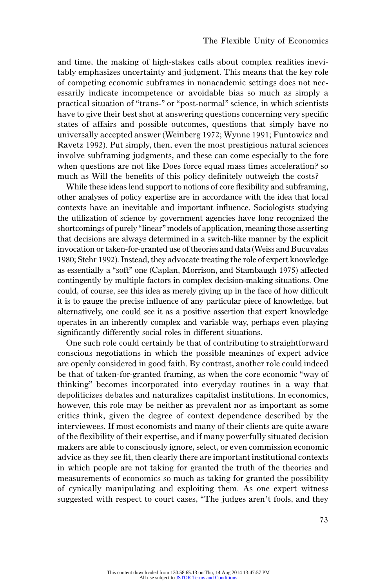and time, the making of high-stakes calls about complex realities inevitably emphasizes uncertainty and judgment. This means that the key role of competing economic subframes in nonacademic settings does not necessarily indicate incompetence or avoidable bias so much as simply a practical situation of "trans-" or "post-normal" science, in which scientists have to give their best shot at answering questions concerning very specific states of affairs and possible outcomes, questions that simply have no universally accepted answer (Weinberg 1972; Wynne 1991; Funtowicz and Ravetz 1992). Put simply, then, even the most prestigious natural sciences involve subframing judgments, and these can come especially to the fore when questions are not like Does force equal mass times acceleration? so much as Will the benefits of this policy definitely outweigh the costs?

While these ideas lend support to notions of core flexibility and subframing, other analyses of policy expertise are in accordance with the idea that local contexts have an inevitable and important influence. Sociologists studying the utilization of science by government agencies have long recognized the shortcomings of purely "linear" models of application, meaning those asserting that decisions are always determined in a switch-like manner by the explicit invocation or taken-for-granted use of theories and data (Weiss and Bucuvalas 1980; Stehr 1992). Instead, they advocate treating the role of expert knowledge as essentially a "soft" one (Caplan, Morrison, and Stambaugh 1975) affected contingently by multiple factors in complex decision-making situations. One could, of course, see this idea as merely giving up in the face of how difficult it is to gauge the precise influence of any particular piece of knowledge, but alternatively, one could see it as a positive assertion that expert knowledge operates in an inherently complex and variable way, perhaps even playing significantly differently social roles in different situations.

One such role could certainly be that of contributing to straightforward conscious negotiations in which the possible meanings of expert advice are openly considered in good faith. By contrast, another role could indeed be that of taken-for-granted framing, as when the core economic "way of thinking" becomes incorporated into everyday routines in a way that depoliticizes debates and naturalizes capitalist institutions. In economics, however, this role may be neither as prevalent nor as important as some critics think, given the degree of context dependence described by the interviewees. If most economists and many of their clients are quite aware of the flexibility of their expertise, and if many powerfully situated decision makers are able to consciously ignore, select, or even commission economic advice as they see fit, then clearly there are important institutional contexts in which people are not taking for granted the truth of the theories and measurements of economics so much as taking for granted the possibility of cynically manipulating and exploiting them. As one expert witness suggested with respect to court cases, "The judges aren't fools, and they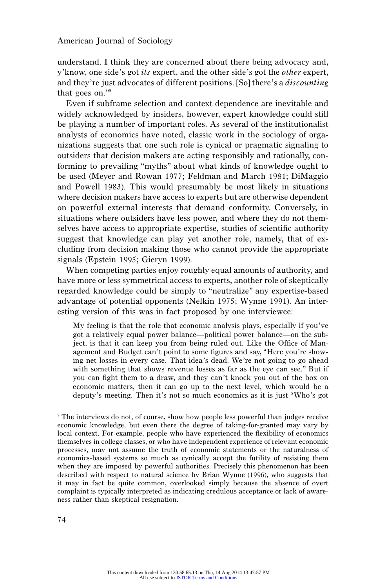understand. I think they are concerned about there being advocacy and, y'know, one side's got *its* expert, and the other side's got the *other* expert, and they're just advocates of different positions. [So] there's a *discounting* that goes on."5

Even if subframe selection and context dependence are inevitable and widely acknowledged by insiders, however, expert knowledge could still be playing a number of important roles. As several of the institutionalist analysts of economics have noted, classic work in the sociology of organizations suggests that one such role is cynical or pragmatic signaling to outsiders that decision makers are acting responsibly and rationally, conforming to prevailing "myths" about what kinds of knowledge ought to be used (Meyer and Rowan 1977; Feldman and March 1981; DiMaggio and Powell 1983). This would presumably be most likely in situations where decision makers have access to experts but are otherwise dependent on powerful external interests that demand conformity. Conversely, in situations where outsiders have less power, and where they do not themselves have access to appropriate expertise, studies of scientific authority suggest that knowledge can play yet another role, namely, that of excluding from decision making those who cannot provide the appropriate signals (Epstein 1995; Gieryn 1999).

When competing parties enjoy roughly equal amounts of authority, and have more or less symmetrical access to experts, another role of skeptically regarded knowledge could be simply to "neutralize" any expertise-based advantage of potential opponents (Nelkin 1975; Wynne 1991). An interesting version of this was in fact proposed by one interviewee:

My feeling is that the role that economic analysis plays, especially if you've got a relatively equal power balance—political power balance—on the subject, is that it can keep you from being ruled out. Like the Office of Management and Budget can't point to some figures and say, "Here you're showing net losses in every case. That idea's dead. We're not going to go ahead with something that shows revenue losses as far as the eye can see." But if you can fight them to a draw, and they can't knock you out of the box on economic matters, then it can go up to the next level, which would be a deputy's meeting. Then it's not so much economics as it is just "Who's got

<sup>5</sup> The interviews do not, of course, show how people less powerful than judges receive economic knowledge, but even there the degree of taking-for-granted may vary by local context. For example, people who have experienced the flexibility of economics themselves in college classes, or who have independent experience of relevant economic processes, may not assume the truth of economic statements or the naturalness of economics-based systems so much as cynically accept the futility of resisting them when they are imposed by powerful authorities. Precisely this phenomenon has been described with respect to natural science by Brian Wynne (1996), who suggests that it may in fact be quite common, overlooked simply because the absence of overt complaint is typically interpreted as indicating credulous acceptance or lack of awareness rather than skeptical resignation.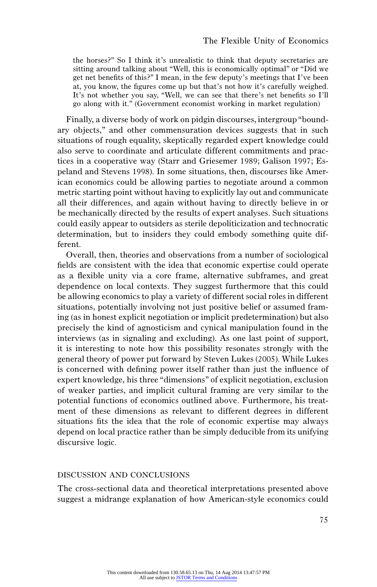the horses?" So I think it's unrealistic to think that deputy secretaries are sitting around talking about "Well, this is economically optimal" or "Did we get net benefits of this?" I mean, in the few deputy's meetings that I've been at, you know, the figures come up but that's not how it's carefully weighed. It's not whether you say, "Well, we can see that there's net benefits so I'll go along with it." (Government economist working in market regulation)

Finally, a diverse body of work on pidgin discourses, intergroup "boundary objects," and other commensuration devices suggests that in such situations of rough equality, skeptically regarded expert knowledge could also serve to coordinate and articulate different commitments and practices in a cooperative way (Starr and Griesemer 1989; Galison 1997; Espeland and Stevens 1998). In some situations, then, discourses like American economics could be allowing parties to negotiate around a common metric starting point without having to explicitly lay out and communicate all their differences, and again without having to directly believe in or be mechanically directed by the results of expert analyses. Such situations could easily appear to outsiders as sterile depoliticization and technocratic determination, but to insiders they could embody something quite different.

Overall, then, theories and observations from a number of sociological fields are consistent with the idea that economic expertise could operate as a flexible unity via a core frame, alternative subframes, and great dependence on local contexts. They suggest furthermore that this could be allowing economics to play a variety of different social roles in different situations, potentially involving not just positive belief or assumed framing (as in honest explicit negotiation or implicit predetermination) but also precisely the kind of agnosticism and cynical manipulation found in the interviews (as in signaling and excluding). As one last point of support, it is interesting to note how this possibility resonates strongly with the general theory of power put forward by Steven Lukes (2005). While Lukes is concerned with defining power itself rather than just the influence of expert knowledge, his three "dimensions" of explicit negotiation, exclusion of weaker parties, and implicit cultural framing are very similar to the potential functions of economics outlined above. Furthermore, his treatment of these dimensions as relevant to different degrees in different situations fits the idea that the role of economic expertise may always depend on local practice rather than be simply deducible from its unifying discursive logic.

#### DISCUSSION AND CONCLUSIONS

The cross-sectional data and theoretical interpretations presented above suggest a midrange explanation of how American-style economics could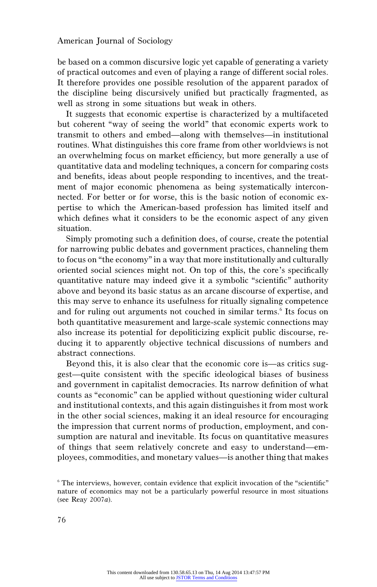be based on a common discursive logic yet capable of generating a variety of practical outcomes and even of playing a range of different social roles. It therefore provides one possible resolution of the apparent paradox of the discipline being discursively unified but practically fragmented, as well as strong in some situations but weak in others.

It suggests that economic expertise is characterized by a multifaceted but coherent "way of seeing the world" that economic experts work to transmit to others and embed—along with themselves—in institutional routines. What distinguishes this core frame from other worldviews is not an overwhelming focus on market efficiency, but more generally a use of quantitative data and modeling techniques, a concern for comparing costs and benefits, ideas about people responding to incentives, and the treatment of major economic phenomena as being systematically interconnected. For better or for worse, this is the basic notion of economic expertise to which the American-based profession has limited itself and which defines what it considers to be the economic aspect of any given situation.

Simply promoting such a definition does, of course, create the potential for narrowing public debates and government practices, channeling them to focus on "the economy" in a way that more institutionally and culturally oriented social sciences might not. On top of this, the core's specifically quantitative nature may indeed give it a symbolic "scientific" authority above and beyond its basic status as an arcane discourse of expertise, and this may serve to enhance its usefulness for ritually signaling competence and for ruling out arguments not couched in similar terms.<sup>6</sup> Its focus on both quantitative measurement and large-scale systemic connections may also increase its potential for depoliticizing explicit public discourse, reducing it to apparently objective technical discussions of numbers and abstract connections.

Beyond this, it is also clear that the economic core is—as critics suggest—quite consistent with the specific ideological biases of business and government in capitalist democracies. Its narrow definition of what counts as "economic" can be applied without questioning wider cultural and institutional contexts, and this again distinguishes it from most work in the other social sciences, making it an ideal resource for encouraging the impression that current norms of production, employment, and consumption are natural and inevitable. Its focus on quantitative measures of things that seem relatively concrete and easy to understand—employees, commodities, and monetary values—is another thing that makes

 $6$  The interviews, however, contain evidence that explicit invocation of the "scientific" nature of economics may not be a particularly powerful resource in most situations (see Reay 2007*a*).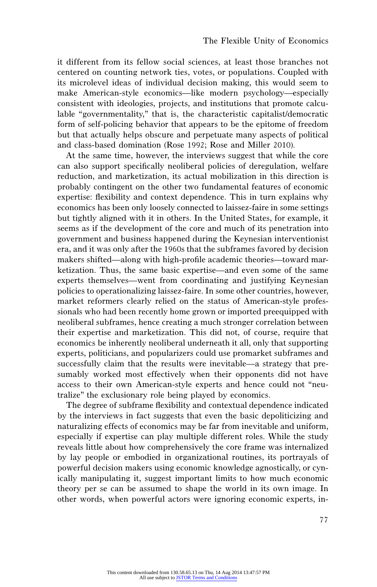it different from its fellow social sciences, at least those branches not centered on counting network ties, votes, or populations. Coupled with its microlevel ideas of individual decision making, this would seem to make American-style economics—like modern psychology—especially consistent with ideologies, projects, and institutions that promote calculable "governmentality," that is, the characteristic capitalist/democratic form of self-policing behavior that appears to be the epitome of freedom but that actually helps obscure and perpetuate many aspects of political and class-based domination (Rose 1992; Rose and Miller 2010).

At the same time, however, the interviews suggest that while the core can also support specifically neoliberal policies of deregulation, welfare reduction, and marketization, its actual mobilization in this direction is probably contingent on the other two fundamental features of economic expertise: flexibility and context dependence. This in turn explains why economics has been only loosely connected to laissez-faire in some settings but tightly aligned with it in others. In the United States, for example, it seems as if the development of the core and much of its penetration into government and business happened during the Keynesian interventionist era, and it was only after the 1960s that the subframes favored by decision makers shifted—along with high-profile academic theories—toward marketization. Thus, the same basic expertise—and even some of the same experts themselves—went from coordinating and justifying Keynesian policies to operationalizing laissez-faire. In some other countries, however, market reformers clearly relied on the status of American-style professionals who had been recently home grown or imported preequipped with neoliberal subframes, hence creating a much stronger correlation between their expertise and marketization. This did not, of course, require that economics be inherently neoliberal underneath it all, only that supporting experts, politicians, and popularizers could use promarket subframes and successfully claim that the results were inevitable—a strategy that presumably worked most effectively when their opponents did not have access to their own American-style experts and hence could not "neutralize" the exclusionary role being played by economics.

The degree of subframe flexibility and contextual dependence indicated by the interviews in fact suggests that even the basic depoliticizing and naturalizing effects of economics may be far from inevitable and uniform, especially if expertise can play multiple different roles. While the study reveals little about how comprehensively the core frame was internalized by lay people or embodied in organizational routines, its portrayals of powerful decision makers using economic knowledge agnostically, or cynically manipulating it, suggest important limits to how much economic theory per se can be assumed to shape the world in its own image. In other words, when powerful actors were ignoring economic experts, in-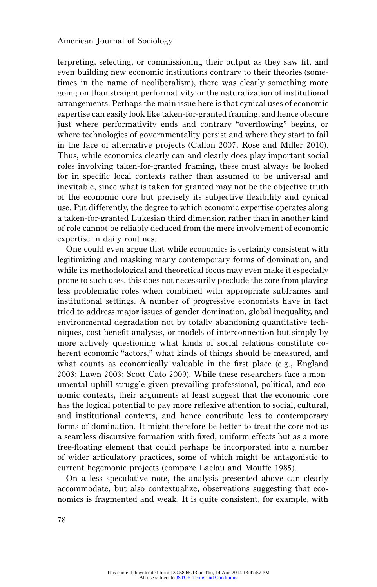terpreting, selecting, or commissioning their output as they saw fit, and even building new economic institutions contrary to their theories (sometimes in the name of neoliberalism), there was clearly something more going on than straight performativity or the naturalization of institutional arrangements. Perhaps the main issue here is that cynical uses of economic expertise can easily look like taken-for-granted framing, and hence obscure just where performativity ends and contrary "overflowing" begins, or where technologies of governmentality persist and where they start to fail in the face of alternative projects (Callon 2007; Rose and Miller 2010). Thus, while economics clearly can and clearly does play important social roles involving taken-for-granted framing, these must always be looked for in specific local contexts rather than assumed to be universal and inevitable, since what is taken for granted may not be the objective truth of the economic core but precisely its subjective flexibility and cynical use. Put differently, the degree to which economic expertise operates along a taken-for-granted Lukesian third dimension rather than in another kind of role cannot be reliably deduced from the mere involvement of economic expertise in daily routines.

One could even argue that while economics is certainly consistent with legitimizing and masking many contemporary forms of domination, and while its methodological and theoretical focus may even make it especially prone to such uses, this does not necessarily preclude the core from playing less problematic roles when combined with appropriate subframes and institutional settings. A number of progressive economists have in fact tried to address major issues of gender domination, global inequality, and environmental degradation not by totally abandoning quantitative techniques, cost-benefit analyses, or models of interconnection but simply by more actively questioning what kinds of social relations constitute coherent economic "actors," what kinds of things should be measured, and what counts as economically valuable in the first place (e.g., England 2003; Lawn 2003; Scott-Cato 2009). While these researchers face a monumental uphill struggle given prevailing professional, political, and economic contexts, their arguments at least suggest that the economic core has the logical potential to pay more reflexive attention to social, cultural, and institutional contexts, and hence contribute less to contemporary forms of domination. It might therefore be better to treat the core not as a seamless discursive formation with fixed, uniform effects but as a more free-floating element that could perhaps be incorporated into a number of wider articulatory practices, some of which might be antagonistic to current hegemonic projects (compare Laclau and Mouffe 1985).

On a less speculative note, the analysis presented above can clearly accommodate, but also contextualize, observations suggesting that economics is fragmented and weak. It is quite consistent, for example, with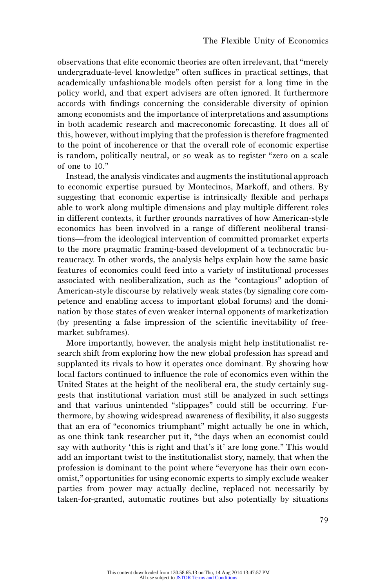observations that elite economic theories are often irrelevant, that "merely undergraduate-level knowledge" often suffices in practical settings, that academically unfashionable models often persist for a long time in the policy world, and that expert advisers are often ignored. It furthermore accords with findings concerning the considerable diversity of opinion among economists and the importance of interpretations and assumptions in both academic research and macreconomic forecasting. It does all of this, however, without implying that the profession istherefore fragmented to the point of incoherence or that the overall role of economic expertise is random, politically neutral, or so weak as to register "zero on a scale of one to 10."

Instead, the analysis vindicates and augments the institutional approach to economic expertise pursued by Montecinos, Markoff, and others. By suggesting that economic expertise is intrinsically flexible and perhaps able to work along multiple dimensions and play multiple different roles in different contexts, it further grounds narratives of how American-style economics has been involved in a range of different neoliberal transitions—from the ideological intervention of committed promarket experts to the more pragmatic framing-based development of a technocratic bureaucracy. In other words, the analysis helps explain how the same basic features of economics could feed into a variety of institutional processes associated with neoliberalization, such as the "contagious" adoption of American-style discourse by relatively weak states (by signaling core competence and enabling access to important global forums) and the domination by those states of even weaker internal opponents of marketization (by presenting a false impression of the scientific inevitability of freemarket subframes).

More importantly, however, the analysis might help institutionalist research shift from exploring how the new global profession has spread and supplanted its rivals to how it operates once dominant. By showing how local factors continued to influence the role of economics even within the United States at the height of the neoliberal era, the study certainly suggests that institutional variation must still be analyzed in such settings and that various unintended "slippages" could still be occurring. Furthermore, by showing widespread awareness of flexibility, it also suggests that an era of "economics triumphant" might actually be one in which, as one think tank researcher put it, "the days when an economist could say with authority 'this is right and that's it' are long gone." This would add an important twist to the institutionalist story, namely, that when the profession is dominant to the point where "everyone has their own economist," opportunities for using economic experts to simply exclude weaker parties from power may actually decline, replaced not necessarily by taken-for-granted, automatic routines but also potentially by situations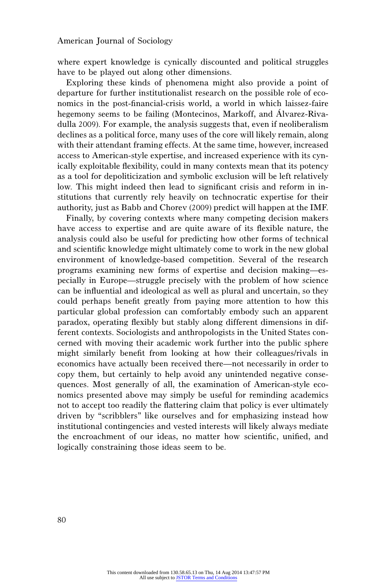where expert knowledge is cynically discounted and political struggles have to be played out along other dimensions.

Exploring these kinds of phenomena might also provide a point of departure for further institutionalist research on the possible role of economics in the post-financial-crisis world, a world in which laissez-faire hegemony seems to be failing (Montecinos, Markoff, and Álvarez-Rivadulla 2009). For example, the analysis suggests that, even if neoliberalism declines as a political force, many uses of the core will likely remain, along with their attendant framing effects. At the same time, however, increased access to American-style expertise, and increased experience with its cynically exploitable flexibility, could in many contexts mean that its potency as a tool for depoliticization and symbolic exclusion will be left relatively low. This might indeed then lead to significant crisis and reform in institutions that currently rely heavily on technocratic expertise for their authority, just as Babb and Chorev (2009) predict will happen at the IMF.

Finally, by covering contexts where many competing decision makers have access to expertise and are quite aware of its flexible nature, the analysis could also be useful for predicting how other forms of technical and scientific knowledge might ultimately come to work in the new global environment of knowledge-based competition. Several of the research programs examining new forms of expertise and decision making—especially in Europe—struggle precisely with the problem of how science can be influential and ideological as well as plural and uncertain, so they could perhaps benefit greatly from paying more attention to how this particular global profession can comfortably embody such an apparent paradox, operating flexibly but stably along different dimensions in different contexts. Sociologists and anthropologists in the United States concerned with moving their academic work further into the public sphere might similarly benefit from looking at how their colleagues/rivals in economics have actually been received there—not necessarily in order to copy them, but certainly to help avoid any unintended negative consequences. Most generally of all, the examination of American-style economics presented above may simply be useful for reminding academics not to accept too readily the flattering claim that policy is ever ultimately driven by "scribblers" like ourselves and for emphasizing instead how institutional contingencies and vested interests will likely always mediate the encroachment of our ideas, no matter how scientific, unified, and logically constraining those ideas seem to be.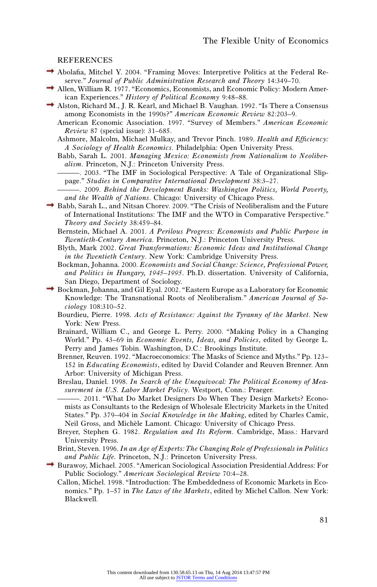REFERENCES

- Abolafia, Mitchel Y. 2004. "Framing Moves: Interpretive Politics at the Federal Reserve." *Journal of Public Administration Research and Theory* 14:349–70.
- Allen, William R. 1977. "Economics, Economists, and Economic Policy: Modern American Experiences." *History of Political Economy* 9:48–88.
- Alston, Richard M., J. R. Kearl, and Michael B. Vaughan. 1992. "Is There a Consensus among Economists in the 1990s?" *American Economic Review* 82:203–9.
	- American Economic Association. 1997. "Survey of Members." *American Economic Review* 87 (special issue): 31–685.
	- Ashmore, Malcolm, Michael Mulkay, and Trevor Pinch. 1989. *Health and Efficiency: A Sociology of Health Economics*. Philadelphia: Open University Press.
	- Babb, Sarah L. 2001. *Managing Mexico: Economists from Nationalism to Neoliberalism*. Princeton, N.J.: Princeton University Press.
	- -. 2003. "The IMF in Sociological Perspective: A Tale of Organizational Slippage." *Studies in Comparative International Development* 38:3–27.
	- ———. 2009. *Behind the Development Banks: Washington Politics, World Poverty, and the Wealth of Nations*. Chicago: University of Chicago Press.
- Babb, Sarah L., and Nitsan Chorev. 2009. "The Crisis of Neoliberalism and the Future of International Institutions: The IMF and the WTO in Comparative Perspective." *Theory and Society* 38:459–84.
	- Bernstein, Michael A. 2001. *A Perilous Progress: Economists and Public Purpose in Twentieth-Century America*. Princeton, N.J.: Princeton University Press.
	- Blyth, Mark 2002. *Great Transformations: Economic Ideas and Institutional Change in the Twentieth Century*. New York: Cambridge University Press.
	- Bockman, Johanna. 2000. *Economists and Social Change: Science, Professional Power, and Politics in Hungary, 1945–1995*. Ph.D. dissertation. University of California, San Diego, Department of Sociology.
- Bockman, Johanna, and Gil Eyal. 2002. "Eastern Europe as a Laboratory for Economic Knowledge: The Transnational Roots of Neoliberalism." *American Journal of Sociology* 108:310–52.
	- Bourdieu, Pierre. 1998. *Acts of Resistance: Against the Tyranny of the Market*. New York: New Press.
	- Brainard, William C., and George L. Perry. 2000. "Making Policy in a Changing World." Pp. 43–69 in *Economic Events, Ideas, and Policies*, edited by George L. Perry and James Tobin. Washington, D.C.: Brookings Institute.
	- Brenner, Reuven. 1992. "Macroeconomics: The Masks of Science and Myths." Pp. 123– 152 in *Educating Economists*, edited by David Colander and Reuven Brenner. Ann Arbor: University of Michigan Press.
	- Breslau, Daniel. 1998. *In Search of the Unequivocal: The Political Economy of Measurement in U.S. Labor Market Policy*. Westport, Conn.: Praeger.
		- ———. 2011. "What Do Market Designers Do When They Design Markets? Economists as Consultants to the Redesign of Wholesale Electricity Markets in the United States." Pp. 379–404 in *Social Knowledge in the Making*, edited by Charles Camic, Neil Gross, and Michèle Lamont. Chicago: University of Chicago Press.
	- Breyer, Stephen G. 1982. *Regulation and Its Reform*. Cambridge, Mass.: Harvard University Press.
	- Brint, Steven. 1996. *In an Age of Experts: The Changing Role of Professionals in Politics and Public Life.* Princeton, N.J.: Princeton University Press.
- $\rightarrow$  Burawoy, Michael. 2005. "American Sociological Association Presidential Address: For Public Sociology." *American Sociological Review* 70:4–28.
	- Callon, Michel. 1998. "Introduction: The Embeddedness of Economic Markets in Economics." Pp. 1–57 in *The Laws of the Markets*, edited by Michel Callon. New York: Blackwell.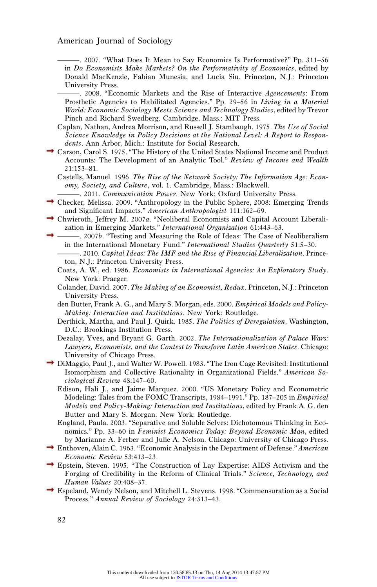-. 2007. "What Does It Mean to Say Economics Is Performative?" Pp. 311-56 in *Do Economists Make Markets? On the Performativity of Economics*, edited by Donald MacKenzie, Fabian Munesia, and Lucia Siu. Princeton, N.J.: Princeton University Press.

———. 2008. "Economic Markets and the Rise of Interactive *Agencements*: From Prosthetic Agencies to Habilitated Agencies." Pp. 29–56 in *Living in a Material World: Economic Sociology Meets Science and Technology Studies*, edited by Trevor Pinch and Richard Swedberg. Cambridge, Mass.: MIT Press.

- Caplan, Nathan, Andrea Morrison, and Russell J. Stambaugh. 1975. *The Use of Social Science Knowledge in Policy Decisions at the National Level: A Report to Respondents*. Ann Arbor, Mich.: Institute for Social Research.
- Carson, Carol S. 1975. "The History of the United States National Income and Product Accounts: The Development of an Analytic Tool." *Review of Income and Wealth* 21:153–81.

Castells, Manuel. 1996. *The Rise of the Network Society: The Information Age: Economy, Society, and Culture*, vol. 1. Cambridge, Mass.: Blackwell.

———. 2011. *Communication Power*. New York: Oxford University Press.

- Checker, Melissa. 2009. "Anthropology in the Public Sphere, 2008: Emerging Trends and Significant Impacts." *American Anthropologist* 111:162–69.
- Chwieroth, Jeffrey M. 2007*a*. "Neoliberal Economists and Capital Account Liberalization in Emerging Markets." *International Organization* 61:443–63.
- ———. 2007*b*. "Testing and Measuring the Role of Ideas: The Case of Neoliberalism in the International Monetary Fund." *International Studies Quarterly* 51:5–30. ———. 2010. *Capital Ideas: The IMF and the Rise of Financial Liberalization*. Princeton, N.J.: Princeton University Press.
	- Coats, A. W., ed. 1986. *Economists in International Agencies: An Exploratory Study*. New York: Praeger.
	- Colander, David. 2007. *The Making of an Economist, Redux*. Princeton, N.J.: Princeton University Press.
	- den Butter, Frank A. G., and Mary S. Morgan, eds. 2000. *Empirical Models and Policy-Making: Interaction and Institutions*. New York: Routledge.
	- Derthick, Martha, and Paul J. Quirk. 1985. *The Politics of Deregulation*. Washington, D.C.: Brookings Institution Press.
	- Dezalay, Yves, and Bryant G. Garth. 2002. *The Internationalization of Palace Wars: Lawyers, Economists, and the Contest to Transform Latin American States*. Chicago: University of Chicago Press.
- DiMaggio, Paul J., and Walter W. Powell. 1983. "The Iron Cage Revisited: Institutional Isomorphism and Collective Rationality in Organizational Fields." *American Sociological Review* 48:147–60.
	- Edison, Hali J., and Jaime Marquez. 2000. "US Monetary Policy and Econometric Modeling: Tales from the FOMC Transcripts, 1984–1991." Pp. 187–205 in *Empirical Models and Policy-Making: Interaction and Institutions*, edited by Frank A. G. den Butter and Mary S. Morgan. New York: Routledge.
	- England, Paula. 2003. "Separative and Soluble Selves: Dichotomous Thinking in Economics." Pp. 33–60 in *Feminist Economics Today: Beyond Economic Man*, edited by Marianne A. Ferber and Julie A. Nelson. Chicago: University of Chicago Press.
- Enthoven, Alain C. 1963. "Economic Analysis in the Department of Defense." *American Economic Review* 53:413–23.
- Epstein, Steven. 1995. "The Construction of Lay Expertise: AIDS Activism and the Forging of Credibility in the Reform of Clinical Trials." *Science, Technology, and Human Values* 20:408–37.
- Espeland, Wendy Nelson, and Mitchell L. Stevens. 1998. "Commensuration as a Social Process." *Annual Review of Sociology* 24:313–43.

82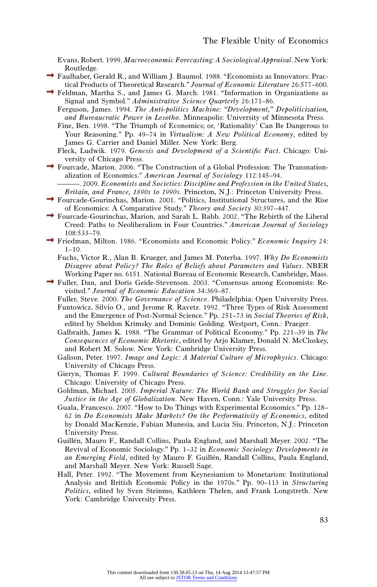Evans, Robert. 1999. *Macroeconomic Forecasting: A Sociological Appraisal*. New York: Routledge.

- Faulhaber, Gerald R., and William J. Baumol. 1988. "Economists as Innovators: Practical Products of Theoretical Research." *Journal of Economic Literature* 26:577–600.
- Feldman, Martha S., and James G. March. 1981. "Information in Organizations as Signal and Symbol." *Administrative Science Quarterly* 26:171–86.
	- Ferguson, James. 1994. *The Anti-politics Machine: "Development," Depoliticization, and Bureaucratic Power in Lesotho*. Minneapolis: University of Minnesota Press.
	- Fine, Ben. 1998. "The Triumph of Economics; or, 'Rationality' Can Be Dangerous to Your Reasoning." Pp. 49–74 in *Virtualism: A New Political Economy*, edited by James G. Carrier and Daniel Miller. New York: Berg.
	- Fleck, Ludwik. 1979. *Genesis and Development of a Scientific Fact*. Chicago: University of Chicago Press.
- Fourcade, Marion. 2006. "The Construction of a Global Profession: The Transnationalization of Economics." *American Journal of Sociology* 112:145–94.
	- ———. 2009. *Economists and Societies: Discipline and Profession in the United States, Britain, and France, 1890s to 1990s*. Princeton, N.J.: Princeton University Press.
- Fourcade-Gourinchas, Marion. 2001. "Politics, Institutional Structures, and the Rise of Economics: A Comparative Study." *Theory and Society* 30:397–447.
- Fourcade-Gourinchas, Marion, and Sarah L. Babb. 2002. "The Rebirth of the Liberal Creed: Paths to Neoliberalism in Four Countries." *American Journal of Sociology* 108:533–79.
- Friedman, Milton. 1986. "Economists and Economic Policy." *Economic Inquiry* 24: 1–10.
	- Fuchs, Victor R., Alan B. Krueger, and James M. Poterba. 1997. *Why Do Economists Disagree about Policy? The Roles of Beliefs about Parameters and Values*. NBER Working Paper no. 6151. National Bureau of Economic Research, Cambridge, Mass.
- Fuller, Dan, and Doris Geide-Stevenson. 2003. "Consensus among Economists: Revisited." *Journal of Economic Education* 34:369–87.
	- Fuller, Steve. 2000. *The Governance of Science*. Philadelphia: Open University Press.
	- Funtowicz, Silvio O., and Jerome R. Ravetz. 1992. "Three Types of Risk Assessment and the Emergence of Post-Normal Science." Pp. 251–73 in *Social Theories of Risk*, edited by Sheldon Krimsky and Dominic Golding. Westport, Conn.: Praeger.
	- Galbraith, James K. 1988. "The Grammar of Political Economy." Pp. 221–39 in *The Consequences of Economic Rhetoric*, edited by Arjo Klamer, Donald N. McCloskey, and Robert M. Solow. New York: Cambridge University Press.
	- Galison, Peter. 1997. *Image and Logic: A Material Culture of Microphysics*. Chicago: University of Chicago Press.
	- Gieryn, Thomas F. 1999. *Cultural Boundaries of Science: Credibility on the Line*. Chicago: University of Chicago Press.
	- Goldman, Michael. 2005. *Imperial Nature: The World Bank and Struggles for Social Justice in the Age of Globalization*. New Haven, Conn.: Yale University Press.
	- Guala, Francesco. 2007. "How to Do Things with Experimental Economics." Pp. 128– 62 in *Do Economists Make Markets? On the Performativity of Economics*, edited by Donald MacKenzie, Fabian Munesia, and Lucia Siu. Princeton, N.J.: Princeton University Press.
	- Guillén, Mauro F., Randall Collins, Paula England, and Marshall Meyer. 2002. "The Revival of Economic Sociology." Pp. 1–32 in *Economic Sociology: Developments in* an Emerging Field, edited by Mauro F. Guillén, Randall Collins, Paula England, and Marshall Meyer. New York: Russell Sage.
	- Hall, Peter. 1992. "The Movement from Keynesianism to Monetarism: Institutional Analysis and British Economic Policy in the 1970s." Pp. 90–113 in *Structuring Politics*, edited by Sven Steinmo, Kathleen Thelen, and Frank Longstreth. New York: Cambridge University Press.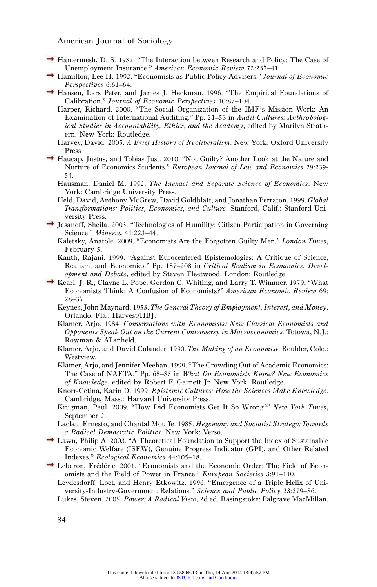- Hamermesh, D. S. 1982. "The Interaction between Research and Policy: The Case of Unemployment Insurance." *American Economic Review* 72:237–41.
- Hamilton, Lee H. 1992. "Economists as Public Policy Advisers." *Journal of Economic Perspectives* 6:61–64.
- Hansen, Lars Peter, and James J. Heckman. 1996. "The Empirical Foundations of Calibration." *Journal of Economic Perspectives* 10:87–104.
	- Harper, Richard. 2000. "The Social Organization of the IMF's Mission Work: An Examination of International Auditing." Pp. 21–53 in *Audit Cultures: Anthropological Studies in Accountability, Ethics, and the Academy*, edited by Marilyn Strathern. New York: Routledge.
	- Harvey, David. 2005. *A Brief History of Neoliberalism*. New York: Oxford University Press.
- Haucap, Justus, and Tobias Just. 2010. "Not Guilty? Another Look at the Nature and Nurture of Economics Students." *European Journal of Law and Economics* 29:239- 54.
	- Hausman, Daniel M. 1992. *The Inexact and Separate Science of Economics*. New York: Cambridge University Press.
	- Held, David, Anthony McGrew, David Goldblatt, and Jonathan Perraton. 1999. *Global Transformations: Politics, Economics, and Culture*. Stanford, Calif.: Stanford University Press.
- Jasanoff, Sheila. 2003. "Technologies of Humility: Citizen Participation in Governing Science." *Minerva* 41:223–44.
	- Kaletsky, Anatole. 2009. "Economists Are the Forgotten Guilty Men." *London Times*, February 5.
	- Kanth, Rajani. 1999. "Against Eurocentered Epistemologies: A Critique of Science, Realism, and Economics." Pp. 187–208 in *Critical Realism in Economics: Development and Debate*, edited by Steven Fleetwood. London: Routledge.
- $\rightarrow$  Kearl, J. R., Clayne L. Pope, Gordon C. Whiting, and Larry T. Wimmer. 1979. "What Economists Think: A Confusion of Economists?" *American Economic Review* 69: 28–37.
	- Keynes, John Maynard. 1953. *The General Theory of Employment, Interest, and Money*. Orlando, Fla.: Harvest/HBJ.
	- Klamer, Arjo. 1984. *Conversations with Economists: New Classical Economists and Opponents Speak Out on the Current Controversy in Macroeconomics*. Totowa, N.J.: Rowman & Allanheld.
	- Klamer, Arjo, and David Colander. 1990. *The Making of an Economist*. Boulder, Colo.: Westview.
	- Klamer, Arjo, and Jennifer Meehan. 1999. "The Crowding Out of Academic Economics: The Case of NAFTA." Pp. 65–85 in *What Do Economists Know? New Economics of Knowledge*, edited by Robert F. Garnett Jr. New York: Routledge.
	- Knorr-Cetina, Karin D. 1999. *Epistemic Cultures: How the Sciences Make Knowledge*. Cambridge, Mass.: Harvard University Press.
	- Krugman, Paul. 2009. "How Did Economists Get It So Wrong?" *New York Times*, September 2.
	- Laclau, Ernesto, and Chantal Mouffe. 1985. *Hegemony and Socialist Strategy: Towards a Radical Democratic Politics*. New York: Verso.
- Lawn, Philip A. 2003. "A Theoretical Foundation to Support the Index of Sustainable Economic Welfare (ISEW), Genuine Progress Indicator (GPI), and Other Related Indexes." *Ecological Economics* 44:105–18.
- $\rightarrow$  Lebaron, Frédéric. 2001. "Economists and the Economic Order: The Field of Economists and the Field of Power in France." *European Societies* 3:91–110.
	- Leydesdorff, Loet, and Henry Etkowitz. 1996. "Emergence of a Triple Helix of University-Industry-Government Relations." *Science and Public Policy* 23:279–86.
	- Lukes, Steven. 2005. *Power: A Radical View*, 2d ed. Basingstoke: Palgrave MacMillan.

84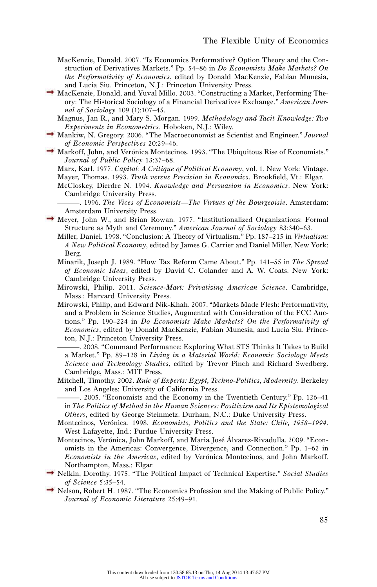- MacKenzie, Donald. 2007. "Is Economics Performative? Option Theory and the Construction of Derivatives Markets." Pp. 54–86 in *Do Economists Make Markets? On the Performativity of Economics*, edited by Donald MacKenzie, Fabian Munesia, and Lucia Siu. Princeton, N.J.: Princeton University Press.
- MacKenzie, Donald, and Yuval Millo. 2003. "Constructing a Market, Performing Theory: The Historical Sociology of a Financial Derivatives Exchange." *American Journal of Sociology* 109 (1):107–45.
	- Magnus, Jan R., and Mary S. Morgan. 1999. *Methodology and Tacit Knowledge: Two Experiments in Econometrics*. Hoboken, N.J.: Wiley.
- Mankiw, N. Gregory. 2006. "The Macroeconomist as Scientist and Engineer." *Journal of Economic Perspectives* 20:29–46.
- $\rightarrow$  Markoff, John, and Verónica Montecinos. 1993. "The Ubiquitous Rise of Economists." *Journal of Public Policy* 13:37–68.
	- Marx, Karl. 1977. *Capital: A Critique of Political Economy*, vol. 1. New York: Vintage. Mayer, Thomas. 1993. *Truth versus Precision in Economics*. Brookfield, Vt.: Elgar.
	- McCloskey, Dierdre N. 1994. *Knowledge and Persuasion in Economics*. New York: Cambridge University Press.

———. 1996. *The Vices of Economists—The Virtues of the Bourgeoisie*. Amsterdam: Amsterdam University Press.

- Meyer, John W., and Brian Rowan. 1977. "Institutionalized Organizations: Formal Structure as Myth and Ceremony." *American Journal of Sociology* 83:340–63.
	- Miller, Daniel. 1998. "Conclusion: A Theory of Virtualism." Pp. 187–215 in *Virtualism: A New Political Economy*, edited by James G. Carrier and Daniel Miller. New York: Berg.
	- Minarik, Joseph J. 1989. "How Tax Reform Came About." Pp. 141–55 in *The Spread of Economic Ideas*, edited by David C. Colander and A. W. Coats. New York: Cambridge University Press.
	- Mirowski, Philip. 2011. *Science-Mart: Privatizing American Science*. Cambridge, Mass.: Harvard University Press.
	- Mirowski, Philip, and Edward Nik-Khah. 2007. "Markets Made Flesh: Performativity, and a Problem in Science Studies, Augmented with Consideration of the FCC Auctions." Pp. 190–224 in *Do Economists Make Markets? On the Performativity of Economics*, edited by Donald MacKenzie, Fabian Munesia, and Lucia Siu. Princeton, N.J.: Princeton University Press.

-. 2008. "Command Performance: Exploring What STS Thinks It Takes to Build a Market." Pp. 89–128 in *Living in a Material World: Economic Sociology Meets Science and Technology Studies*, edited by Trevor Pinch and Richard Swedberg. Cambridge, Mass.: MIT Press.

Mitchell, Timothy. 2002. *Rule of Experts: Egypt, Techno-Politics, Modernity*. Berkeley and Los Angeles: University of California Press.

-. 2005. "Economists and the Economy in the Twentieth Century." Pp. 126-41 in *The Politics of Method in the Human Sciences: Positivism and Its Epistemological Others*, edited by George Steinmetz. Durham, N.C.: Duke University Press.

- Montecinos, Verónica. 1998. *Economists, Politics and the State: Chile, 1958–1994*. West Lafayette, Ind.: Purdue University Press.
- Montecinos, Verónica, John Markoff, and Maria José Álvarez-Rivadulla. 2009. "Economists in the Americas: Convergence, Divergence, and Connection." Pp. 1–62 in *Economists in the Americas*, edited by Verónica Montecinos, and John Markoff. Northampton, Mass.: Elgar.
- Nelkin, Dorothy. 1975. "The Political Impact of Technical Expertise." *Social Studies of Science* 5:35–54.
- $\rightarrow$  Nelson, Robert H. 1987. "The Economics Profession and the Making of Public Policy." *Journal of Economic Literature* 25:49–91.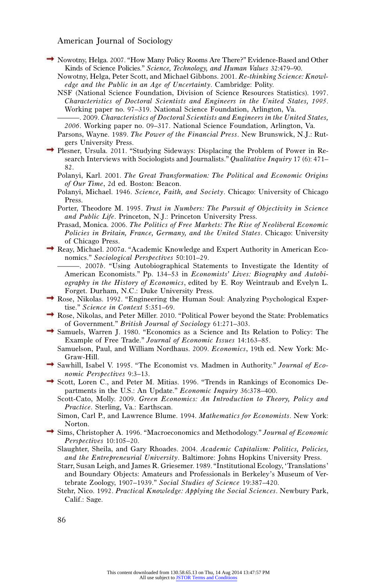- Nowotny, Helga. 2007. "How Many Policy Rooms Are There?" Evidence-Based and Other Kinds of Science Policies." *Science, Technology, and Human Values* 32:479–90.
	- Nowotny, Helga, Peter Scott, and Michael Gibbons. 2001. *Re-thinking Science: Knowledge and the Public in an Age of Uncertainty*. Cambridge: Polity.
	- NSF (National Science Foundation, Division of Science Resources Statistics). 1997. *Characteristics of Doctoral Scientists and Engineers in the United States, 1995*. Working paper no. 97–319. National Science Foundation, Arlington, Va.
	- ———. 2009. *Characteristics of Doctoral Scientists and Engineers in the United States, 2006*. Working paper no. 09–317. National Science Foundation, Arlington, Va.
	- Parsons, Wayne. 1989. *The Power of the Financial Press*. New Brunswick, N.J.: Rutgers University Press.
- $\rightarrow$  Plesner, Ursula. 2011. "Studying Sideways: Displacing the Problem of Power in Research Interviews with Sociologists and Journalists." *Qualitative Inquiry* 17 (6): 471– 82.
	- Polanyi, Karl. 2001. *The Great Transformation: The Political and Economic Origins of Our Time*, 2d ed. Boston: Beacon.
	- Polanyi, Michael. 1946. *Science, Faith, and Society*. Chicago: University of Chicago Press.
	- Porter, Theodore M. 1995. *Trust in Numbers: The Pursuit of Objectivity in Science and Public Life*. Princeton, N.J.: Princeton University Press.
	- Prasad, Monica. 2006. *The Politics of Free Markets: The Rise of Neoliberal Economic Policies in Britain, France, Germany, and the United States*. Chicago: University of Chicago Press.
- Reay, Michael. 2007*a*. "Academic Knowledge and Expert Authority in American Economics." *Sociological Perspectives* 50:101–29.
	- ———. 2007*b*. "Using Autobiographical Statements to Investigate the Identity of American Economists." Pp. 134–53 in *Economists' Lives: Biography and Autobiography in the History of Economics*, edited by E. Roy Weintraub and Evelyn L. Forget. Durham, N.C.: Duke University Press.
- Rose, Nikolas. 1992. "Engineering the Human Soul: Analyzing Psychological Expertise." *Science in Context* 5:351–69.
- Rose, Nikolas, and Peter Miller. 2010. "Political Power beyond the State: Problematics of Government." *British Journal of Sociology* 61:271–303.
- $\rightarrow$  Samuels, Warren J. 1980. "Economics as a Science and Its Relation to Policy: The Example of Free Trade." *Journal of Economic Issues* 14:163–85. Samuelson, Paul, and William Nordhaus. 2009. *Economics*, 19th ed. New York: Mc-
- Graw-Hill.
- Sawhill, Isabel V. 1995. "The Economist vs. Madmen in Authority." *Journal of Economic Perspectives* 9:3–13.
- Scott, Loren C., and Peter M. Mitias. 1996. "Trends in Rankings of Economics Departments in the U.S.: An Update." *Economic Inquiry* 36:378–400.
	- Scott-Cato, Molly. 2009. *Green Economics: An Introduction to Theory, Policy and Practice*. Sterling, Va.: Earthscan.
	- Simon, Carl P., and Lawrence Blume. 1994. *Mathematics for Economists*. New York: Norton.
- Sims, Christopher A. 1996. "Macroeconomics and Methodology." *Journal of Economic Perspectives* 10:105–20.
	- Slaughter, Sheila, and Gary Rhoades. 2004. *Academic Capitalism: Politics, Policies, and the Entrepreneurial University*. Baltimore: Johns Hopkins University Press.
	- Starr, Susan Leigh, and James R. Griesemer. 1989. "Institutional Ecology, 'Translations' and Boundary Objects: Amateurs and Professionals in Berkeley's Museum of Vertebrate Zoology, 1907–1939." *Social Studies of Science* 19:387–420.
	- Stehr, Nico. 1992. *Practical Knowledge: Applying the Social Sciences*. Newbury Park, Calif.: Sage.

86